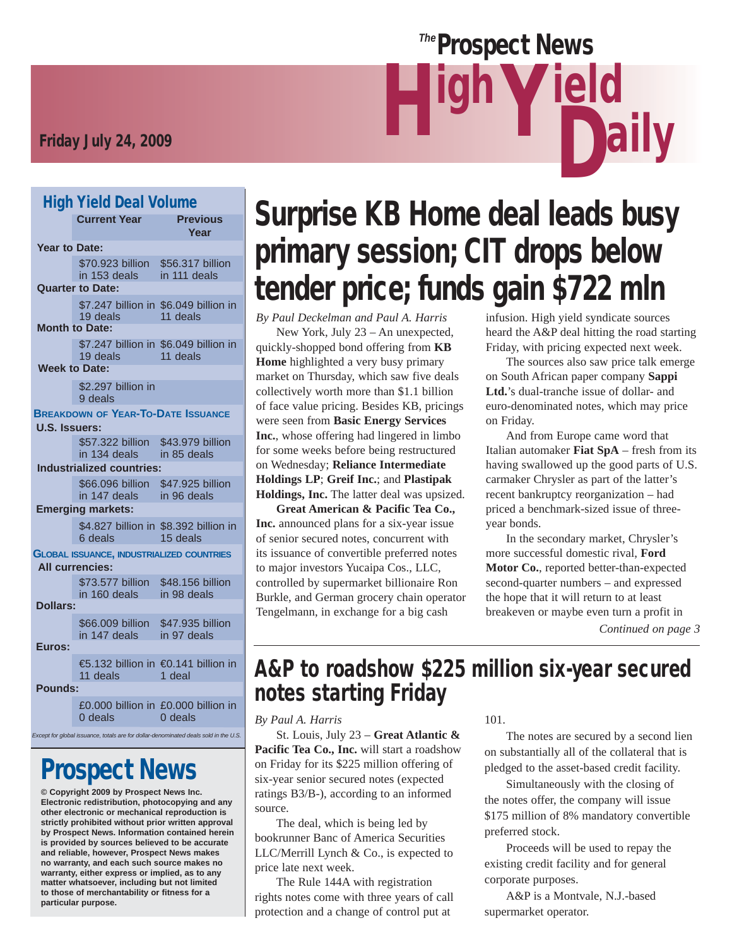# Friday July 24, 2009 **Highland Strutter (1980)**

#### High Yield Deal Volume

| .                    | <b>Current Year</b>                                                        | <b>Previous</b><br>Year                                                              |
|----------------------|----------------------------------------------------------------------------|--------------------------------------------------------------------------------------|
| <b>Year to Date:</b> |                                                                            |                                                                                      |
|                      | \$70,923 billion<br>in 153 deals<br><b>Quarter to Date:</b>                | \$56.317 billion<br>in 111 deals                                                     |
|                      | \$7.247 billion in \$6.049 billion in<br>19 deals<br><b>Month to Date:</b> | 11 deals                                                                             |
|                      | \$7.247 billion in \$6.049 billion in<br>19 deals<br><b>Week to Date:</b>  | 11 deals                                                                             |
|                      | \$2.297 billion in<br>9 deals                                              |                                                                                      |
| <b>U.S. Issuers:</b> | <b>BREAKDOWN OF YEAR-TO-DATE ISSUANCE</b>                                  |                                                                                      |
|                      | \$57.322 billion<br>in 134 deals                                           | \$43.979 billion<br>in 85 deals                                                      |
|                      | <b>Industrialized countries:</b>                                           |                                                                                      |
|                      | \$66.096 billion<br>in 147 deals                                           | \$47.925 billion<br>in 96 deals                                                      |
|                      | <b>Emerging markets:</b>                                                   |                                                                                      |
|                      | \$4.827 billion in \$8.392 billion in<br>6 deals                           | 15 deals                                                                             |
|                      | <b>GLOBAL ISSUANCE, INDUSTRIALIZED COUNTRIES</b>                           |                                                                                      |
|                      | <b>All currencies:</b>                                                     |                                                                                      |
|                      | \$73.577 billion<br>in 160 deals in 98 deals                               | \$48.156 billion                                                                     |
| Dollars:             |                                                                            |                                                                                      |
|                      | \$66.009 billion \$47.935 billion<br>in 147 deals in 97 deals              |                                                                                      |
| Euros:               |                                                                            |                                                                                      |
|                      | €5.132 billion in €0.141 billion in<br>11 deals                            | 1 deal                                                                               |
| Pounds:              |                                                                            |                                                                                      |
|                      | 0 deals                                                                    | £0.000 billion in £0.000 billion in<br>$0$ deals                                     |
|                      |                                                                            | Except for global issuance, totals are for dollar-denominated deals sold in the U.S. |

# Prospect News

**© Copyright 2009 by Prospect News Inc. Electronic redistribution, photocopying and any other electronic or mechanical reproduction is strictly prohibited without prior written approval by Prospect News. Information contained herein is provided by sources believed to be accurate and reliable, however, Prospect News makes no warranty, and each such source makes no warranty, either express or implied, as to any matter whatsoever, including but not limited to those of merchantability or fitness for a particular purpose.**

# Surprise KB Home deal leads busy primary session; CIT drops below tender price; funds gain \$722 mln

**Prospect News** 

**Y** leid

*By Paul Deckelman and Paul A. Harris* New York, July 23 – An unexpected, quickly-shopped bond offering from **KB Home** highlighted a very busy primary market on Thursday, which saw five deals collectively worth more than \$1.1 billion of face value pricing. Besides KB, pricings were seen from **Basic Energy Services Inc.**, whose offering had lingered in limbo for some weeks before being restructured on Wednesday; **Reliance Intermediate Holdings LP**; **Greif Inc.**; and **Plastipak Holdings, Inc.** The latter deal was upsized.

**Great American & Pacific Tea Co., Inc.** announced plans for a six-year issue of senior secured notes, concurrent with its issuance of convertible preferred notes to major investors Yucaipa Cos., LLC, controlled by supermarket billionaire Ron Burkle, and German grocery chain operator Tengelmann, in exchange for a big cash

infusion. High yield syndicate sources heard the A&P deal hitting the road starting Friday, with pricing expected next week.

**Dally** 

 The sources also saw price talk emerge on South African paper company **Sappi Ltd.**'s dual-tranche issue of dollar- and euro-denominated notes, which may price on Friday.

 And from Europe came word that Italian automaker **Fiat SpA** – fresh from its having swallowed up the good parts of U.S. carmaker Chrysler as part of the latter's recent bankruptcy reorganization – had priced a benchmark-sized issue of threeyear bonds.

 In the secondary market, Chrysler's more successful domestic rival, **Ford Motor Co.**, reported better-than-expected second-quarter numbers – and expressed the hope that it will return to at least breakeven or maybe even turn a profit in *Continued on page 3*

# A&P to roadshow \$225 million six-year secured notes starting Friday

*By Paul A. Harris*

 St. Louis, July 23 – **Great Atlantic &**  Pacific Tea Co., Inc. will start a roadshow on Friday for its \$225 million offering of six-year senior secured notes (expected ratings B3/B-), according to an informed source.

 The deal, which is being led by bookrunner Banc of America Securities LLC/Merrill Lynch & Co., is expected to price late next week.

 The Rule 144A with registration rights notes come with three years of call protection and a change of control put at

101.

 The notes are secured by a second lien on substantially all of the collateral that is pledged to the asset-based credit facility.

 Simultaneously with the closing of the notes offer, the company will issue \$175 million of 8% mandatory convertible preferred stock.

 Proceeds will be used to repay the existing credit facility and for general corporate purposes.

 A&P is a Montvale, N.J.-based supermarket operator.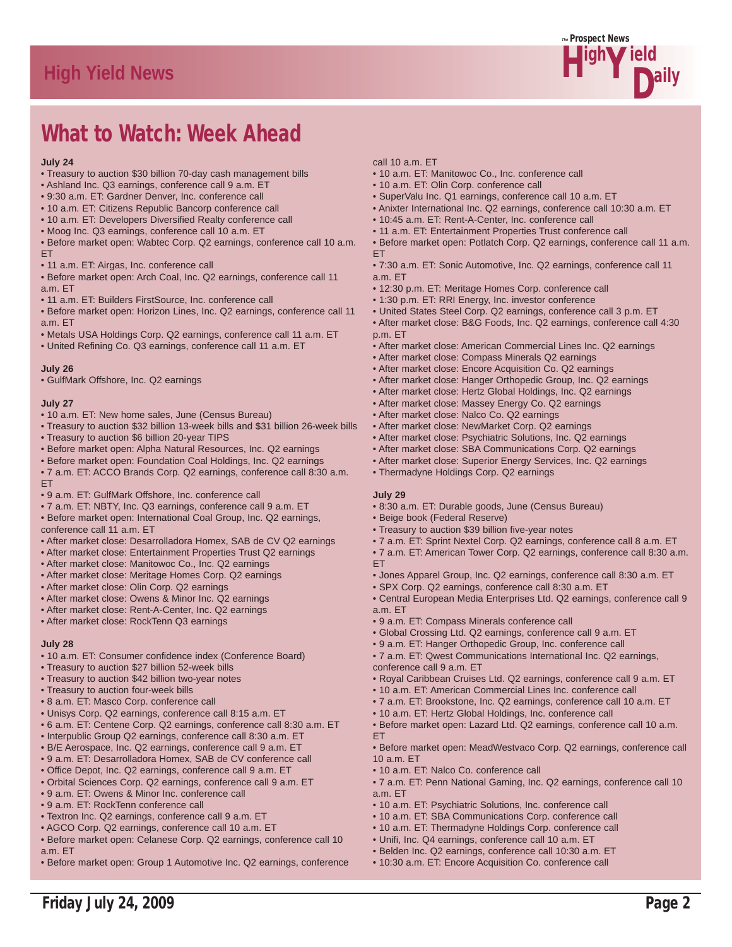

# What to Watch: Week Ahead

#### **July 24**

- Treasury to auction \$30 billion 70-day cash management bills
- Ashland Inc. Q3 earnings, conference call 9 a.m. ET
- 9:30 a.m. ET: Gardner Denver, Inc. conference call
- 10 a.m. ET: Citizens Republic Bancorp conference call
- 10 a.m. ET: Developers Diversified Realty conference call
- Moog Inc. Q3 earnings, conference call 10 a.m. ET
- Before market open: Wabtec Corp. Q2 earnings, conference call 10 a.m. **FT**
- 11 a.m. ET: Airgas, Inc. conference call
- Before market open: Arch Coal, Inc. Q2 earnings, conference call 11 a.m. ET
- 11 a.m. ET: Builders FirstSource, Inc. conference call
- Before market open: Horizon Lines, Inc. Q2 earnings, conference call 11 a.m. ET
- Metals USA Holdings Corp. Q2 earnings, conference call 11 a.m. ET
- United Refining Co. Q3 earnings, conference call 11 a.m. ET

#### **July 26**

• GulfMark Offshore, Inc. Q2 earnings

#### **July 27**

- 10 a.m. ET: New home sales, June (Census Bureau)
- Treasury to auction \$32 billion 13-week bills and \$31 billion 26-week bills
- Treasury to auction \$6 billion 20-year TIPS
- Before market open: Alpha Natural Resources, Inc. Q2 earnings
- Before market open: Foundation Coal Holdings, Inc. Q2 earnings
- 7 a.m. ET: ACCO Brands Corp. Q2 earnings, conference call 8:30 a.m. ET
- 9 a.m. ET: GulfMark Offshore, Inc. conference call
- 7 a.m. ET: NBTY, Inc. Q3 earnings, conference call 9 a.m. ET
- Before market open: International Coal Group, Inc. Q2 earnings, conference call 11 a.m. ET
- After market close: Desarrolladora Homex, SAB de CV Q2 earnings
- After market close: Entertainment Properties Trust Q2 earnings
- After market close: Manitowoc Co., Inc. Q2 earnings
- After market close: Meritage Homes Corp. Q2 earnings
- After market close: Olin Corp. Q2 earnings
- After market close: Owens & Minor Inc. Q2 earnings
- After market close: Rent-A-Center, Inc. Q2 earnings
- After market close: RockTenn Q3 earnings

#### **July 28**

- 10 a.m. ET: Consumer confidence index (Conference Board)
- Treasury to auction \$27 billion 52-week bills
- Treasury to auction \$42 billion two-year notes
- Treasury to auction four-week bills
- 8 a.m. ET: Masco Corp. conference call
- Unisys Corp. Q2 earnings, conference call 8:15 a.m. ET
- 6 a.m. ET: Centene Corp. Q2 earnings, conference call 8:30 a.m. ET
- Interpublic Group Q2 earnings, conference call 8:30 a.m. ET
- B/E Aerospace, Inc. Q2 earnings, conference call 9 a.m. ET
- 9 a.m. ET: Desarrolladora Homex, SAB de CV conference call
- Office Depot, Inc. Q2 earnings, conference call 9 a.m. ET
- Orbital Sciences Corp. Q2 earnings, conference call 9 a.m. ET
- 9 a.m. ET: Owens & Minor Inc. conference call
- 9 a.m. ET: RockTenn conference call

Friday July 24, 2009

- Textron Inc. Q2 earnings, conference call 9 a.m. ET
- AGCO Corp. Q2 earnings, conference call 10 a.m. ET
- Before market open: Celanese Corp. Q2 earnings, conference call 10 a.m. ET
- Before market open: Group 1 Automotive Inc. Q2 earnings, conference
- call 10 a.m. ET
- 10 a.m. ET: Manitowoc Co., Inc. conference call
- 10 a.m. ET: Olin Corp. conference call
- SuperValu Inc. Q1 earnings, conference call 10 a.m. ET
- Anixter International Inc. Q2 earnings, conference call 10:30 a.m. ET
- 10:45 a.m. ET: Rent-A-Center, Inc. conference call
- 11 a.m. ET: Entertainment Properties Trust conference call
- Before market open: Potlatch Corp. Q2 earnings, conference call 11 a.m. **FT**
- 7:30 a.m. ET: Sonic Automotive, Inc. Q2 earnings, conference call 11 a.m. ET
- 12:30 p.m. ET: Meritage Homes Corp. conference call
- 1:30 p.m. ET: RRI Energy, Inc. investor conference
- United States Steel Corp. Q2 earnings, conference call 3 p.m. ET
- After market close: B&G Foods, Inc. Q2 earnings, conference call 4:30 p.m. ET
- After market close: American Commercial Lines Inc. Q2 earnings
- After market close: Compass Minerals Q2 earnings
- After market close: Encore Acquisition Co. Q2 earnings
- After market close: Hanger Orthopedic Group, Inc. Q2 earnings
- After market close: Hertz Global Holdings, Inc. Q2 earnings
- After market close: Massey Energy Co. Q2 earnings
- After market close: Nalco Co. Q2 earnings
- After market close: NewMarket Corp. Q2 earnings
- After market close: Psychiatric Solutions, Inc. Q2 earnings
- After market close: SBA Communications Corp. Q2 earnings
- After market close: Superior Energy Services, Inc. Q2 earnings • Thermadyne Holdings Corp. Q2 earnings
	-

#### **July 29**

a.m. ET

- 8:30 a.m. ET: Durable goods, June (Census Bureau)
- Beige book (Federal Reserve)
- Treasury to auction \$39 billion five-year notes
- 7 a.m. ET: Sprint Nextel Corp. Q2 earnings, conference call 8 a.m. ET
- 7 a.m. ET: American Tower Corp. Q2 earnings, conference call 8:30 a.m. ET
- Jones Apparel Group, Inc. Q2 earnings, conference call 8:30 a.m. ET
- SPX Corp. Q2 earnings, conference call 8:30 a.m. ET
- Central European Media Enterprises Ltd. Q2 earnings, conference call 9 a.m. ET
- 9 a.m. ET: Compass Minerals conference call
- Global Crossing Ltd. Q2 earnings, conference call 9 a.m. ET
- 9 a.m. ET: Hanger Orthopedic Group, Inc. conference call
- 7 a.m. ET: Qwest Communications International Inc. Q2 earnings, conference call 9 a.m. ET
- Royal Caribbean Cruises Ltd. Q2 earnings, conference call 9 a.m. ET
- 10 a.m. ET: American Commercial Lines Inc. conference call
- 7 a.m. ET: Brookstone, Inc. Q2 earnings, conference call 10 a.m. ET
- 10 a.m. ET: Hertz Global Holdings, Inc. conference call

• 10 a.m. ET: Psychiatric Solutions, Inc. conference call • 10 a.m. ET: SBA Communications Corp. conference call • 10 a.m. ET: Thermadyne Holdings Corp. conference call • Unifi, Inc. Q4 earnings, conference call 10 a.m. ET • Belden Inc. Q2 earnings, conference call 10:30 a.m. ET • 10:30 a.m. ET: Encore Acquisition Co. conference call

- Before market open: Lazard Ltd. Q2 earnings, conference call 10 a.m. ET
- Before market open: MeadWestvaco Corp. Q2 earnings, conference call  $10 a m$  FT • 10 a.m. ET: Nalco Co. conference call

• 7 a.m. ET: Penn National Gaming, Inc. Q2 earnings, conference call 10

Page 2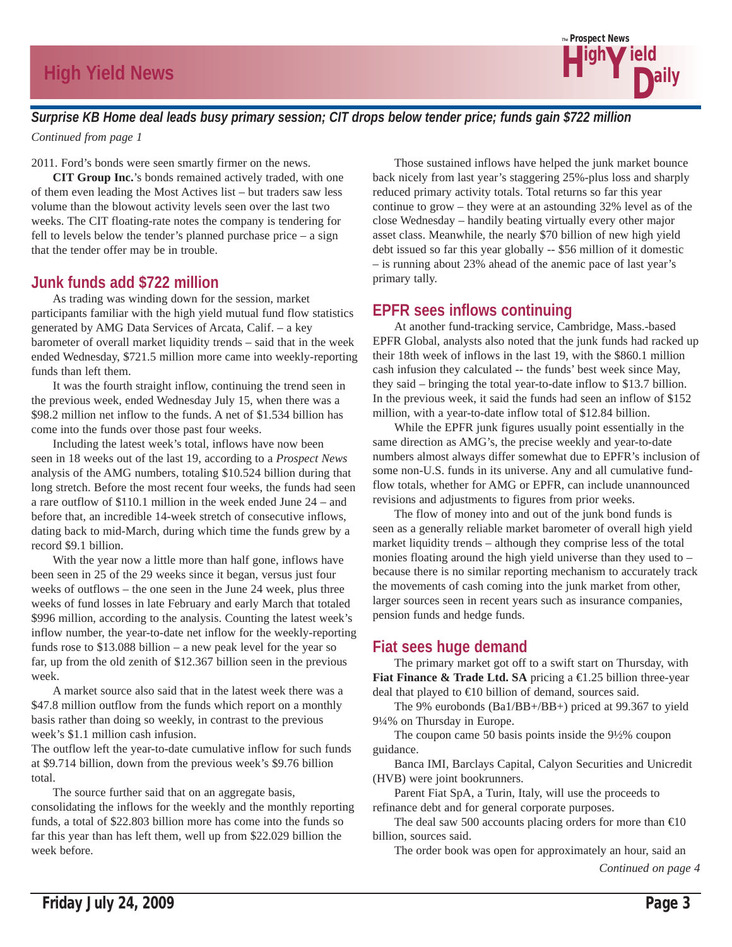

### *Surprise KB Home deal leads busy primary session; CIT drops below tender price; funds gain \$722 million*

*Continued from page 1*

2011. Ford's bonds were seen smartly firmer on the news.

**CIT Group Inc.**'s bonds remained actively traded, with one of them even leading the Most Actives list – but traders saw less volume than the blowout activity levels seen over the last two weeks. The CIT floating-rate notes the company is tendering for fell to levels below the tender's planned purchase price – a sign that the tender offer may be in trouble.

### **Junk funds add \$722 million**

 As trading was winding down for the session, market participants familiar with the high yield mutual fund flow statistics generated by AMG Data Services of Arcata, Calif. – a key barometer of overall market liquidity trends – said that in the week ended Wednesday, \$721.5 million more came into weekly-reporting funds than left them.

 It was the fourth straight inflow, continuing the trend seen in the previous week, ended Wednesday July 15, when there was a \$98.2 million net inflow to the funds. A net of \$1.534 billion has come into the funds over those past four weeks.

 Including the latest week's total, inflows have now been seen in 18 weeks out of the last 19, according to a *Prospect News* analysis of the AMG numbers, totaling \$10.524 billion during that long stretch. Before the most recent four weeks, the funds had seen a rare outflow of \$110.1 million in the week ended June 24 – and before that, an incredible 14-week stretch of consecutive inflows, dating back to mid-March, during which time the funds grew by a record \$9.1 billion.

 With the year now a little more than half gone, inflows have been seen in 25 of the 29 weeks since it began, versus just four weeks of outflows – the one seen in the June 24 week, plus three weeks of fund losses in late February and early March that totaled \$996 million, according to the analysis. Counting the latest week's inflow number, the year-to-date net inflow for the weekly-reporting funds rose to \$13.088 billion – a new peak level for the year so far, up from the old zenith of \$12.367 billion seen in the previous week.

 A market source also said that in the latest week there was a \$47.8 million outflow from the funds which report on a monthly basis rather than doing so weekly, in contrast to the previous week's \$1.1 million cash infusion.

The outflow left the year-to-date cumulative inflow for such funds at \$9.714 billion, down from the previous week's \$9.76 billion total.

 The source further said that on an aggregate basis, consolidating the inflows for the weekly and the monthly reporting funds, a total of \$22.803 billion more has come into the funds so far this year than has left them, well up from \$22.029 billion the week before.

 Those sustained inflows have helped the junk market bounce back nicely from last year's staggering 25%-plus loss and sharply reduced primary activity totals. Total returns so far this year continue to grow – they were at an astounding 32% level as of the close Wednesday – handily beating virtually every other major asset class. Meanwhile, the nearly \$70 billion of new high yield debt issued so far this year globally -- \$56 million of it domestic – is running about 23% ahead of the anemic pace of last year's primary tally.

### **EPFR sees inflows continuing**

 At another fund-tracking service, Cambridge, Mass.-based EPFR Global, analysts also noted that the junk funds had racked up their 18th week of inflows in the last 19, with the \$860.1 million cash infusion they calculated -- the funds' best week since May, they said – bringing the total year-to-date inflow to \$13.7 billion. In the previous week, it said the funds had seen an inflow of \$152 million, with a year-to-date inflow total of \$12.84 billion.

 While the EPFR junk figures usually point essentially in the same direction as AMG's, the precise weekly and year-to-date numbers almost always differ somewhat due to EPFR's inclusion of some non-U.S. funds in its universe. Any and all cumulative fundflow totals, whether for AMG or EPFR, can include unannounced revisions and adjustments to figures from prior weeks.

 The flow of money into and out of the junk bond funds is seen as a generally reliable market barometer of overall high yield market liquidity trends – although they comprise less of the total monies floating around the high yield universe than they used to – because there is no similar reporting mechanism to accurately track the movements of cash coming into the junk market from other, larger sources seen in recent years such as insurance companies, pension funds and hedge funds.

### **Fiat sees huge demand**

 The primary market got off to a swift start on Thursday, with **Fiat Finance & Trade Ltd. SA** pricing a €1.25 billion three-year deal that played to €10 billion of demand, sources said.

 The 9% eurobonds (Ba1/BB+/BB+) priced at 99.367 to yield 9¼% on Thursday in Europe.

 The coupon came 50 basis points inside the 9½% coupon guidance.

 Banca IMI, Barclays Capital, Calyon Securities and Unicredit (HVB) were joint bookrunners.

 Parent Fiat SpA, a Turin, Italy, will use the proceeds to refinance debt and for general corporate purposes.

The deal saw 500 accounts placing orders for more than  $\epsilon 10$ billion, sources said.

 The order book was open for approximately an hour, said an *Continued on page 4*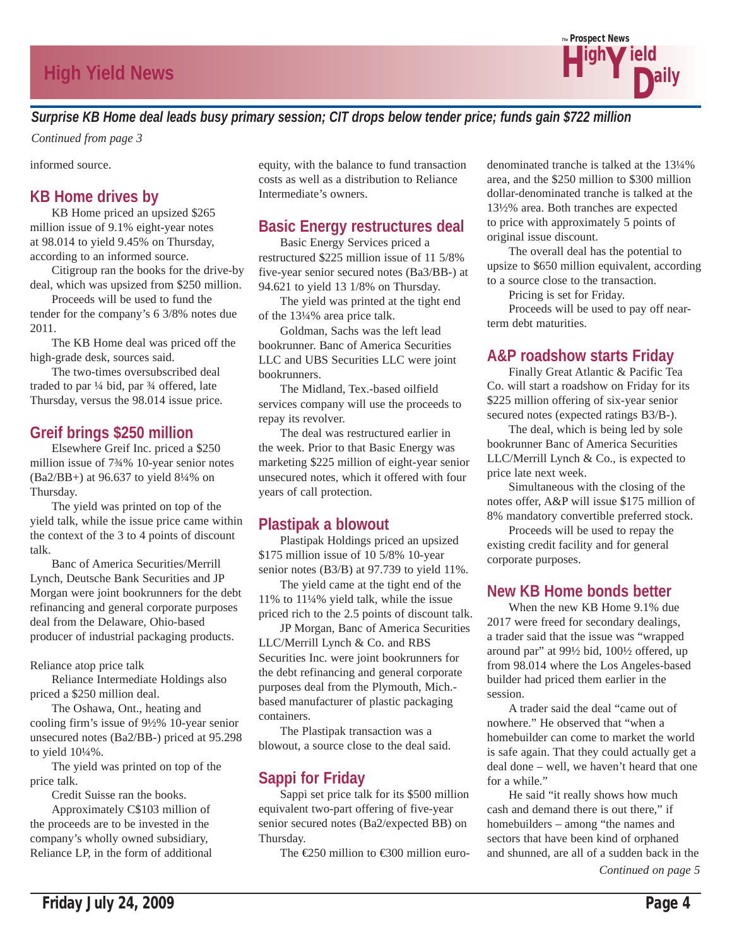

### *Surprise KB Home deal leads busy primary session; CIT drops below tender price; funds gain \$722 million*

*Continued from page 3*

informed source.

### **KB Home drives by**

 KB Home priced an upsized \$265 million issue of 9.1% eight-year notes at 98.014 to yield 9.45% on Thursday, according to an informed source.

 Citigroup ran the books for the drive-by deal, which was upsized from \$250 million.

 Proceeds will be used to fund the tender for the company's 6 3/8% notes due 2011.

 The KB Home deal was priced off the high-grade desk, sources said.

 The two-times oversubscribed deal traded to par ¼ bid, par ¾ offered, late Thursday, versus the 98.014 issue price.

### **Greif brings \$250 million**

 Elsewhere Greif Inc. priced a \$250 million issue of 7¾% 10-year senior notes (Ba2/BB+) at 96.637 to yield 8¼% on Thursday.

 The yield was printed on top of the yield talk, while the issue price came within the context of the 3 to 4 points of discount talk.

 Banc of America Securities/Merrill Lynch, Deutsche Bank Securities and JP Morgan were joint bookrunners for the debt refinancing and general corporate purposes deal from the Delaware, Ohio-based producer of industrial packaging products.

Reliance atop price talk

 Reliance Intermediate Holdings also priced a \$250 million deal.

 The Oshawa, Ont., heating and cooling firm's issue of 9½% 10-year senior unsecured notes (Ba2/BB-) priced at 95.298 to yield 10¼%.

 The yield was printed on top of the price talk.

Credit Suisse ran the books.

 Approximately C\$103 million of the proceeds are to be invested in the company's wholly owned subsidiary, Reliance LP, in the form of additional equity, with the balance to fund transaction costs as well as a distribution to Reliance Intermediate's owners.

### **Basic Energy restructures deal**

 Basic Energy Services priced a restructured \$225 million issue of 11 5/8% five-year senior secured notes (Ba3/BB-) at 94.621 to yield 13 1/8% on Thursday.

 The yield was printed at the tight end of the 13¼% area price talk.

 Goldman, Sachs was the left lead bookrunner. Banc of America Securities LLC and UBS Securities LLC were joint bookrunners.

 The Midland, Tex.-based oilfield services company will use the proceeds to repay its revolver.

 The deal was restructured earlier in the week. Prior to that Basic Energy was marketing \$225 million of eight-year senior unsecured notes, which it offered with four years of call protection.

### **Plastipak a blowout**

 Plastipak Holdings priced an upsized \$175 million issue of 10 5/8% 10-year senior notes (B3/B) at 97.739 to yield 11%.

 The yield came at the tight end of the 11% to 11¼% yield talk, while the issue priced rich to the 2.5 points of discount talk.

 JP Morgan, Banc of America Securities LLC/Merrill Lynch & Co. and RBS Securities Inc. were joint bookrunners for the debt refinancing and general corporate purposes deal from the Plymouth, Mich. based manufacturer of plastic packaging containers.

 The Plastipak transaction was a blowout, a source close to the deal said.

# **Sappi for Friday**

 Sappi set price talk for its \$500 million equivalent two-part offering of five-year senior secured notes (Ba2/expected BB) on Thursday.

The  $E$ 50 million to  $E$ 600 million euro-

denominated tranche is talked at the 13¼% area, and the \$250 million to \$300 million dollar-denominated tranche is talked at the 13½% area. Both tranches are expected to price with approximately 5 points of original issue discount.

 The overall deal has the potential to upsize to \$650 million equivalent, according to a source close to the transaction.

Pricing is set for Friday.

 Proceeds will be used to pay off nearterm debt maturities.

### **A&P roadshow starts Friday**

 Finally Great Atlantic & Pacific Tea Co. will start a roadshow on Friday for its \$225 million offering of six-year senior secured notes (expected ratings B3/B-).

 The deal, which is being led by sole bookrunner Banc of America Securities LLC/Merrill Lynch & Co., is expected to price late next week.

 Simultaneous with the closing of the notes offer, A&P will issue \$175 million of 8% mandatory convertible preferred stock.

 Proceeds will be used to repay the existing credit facility and for general corporate purposes.

### **New KB Home bonds better**

 When the new KB Home 9.1% due 2017 were freed for secondary dealings, a trader said that the issue was "wrapped around par" at 99½ bid, 100½ offered, up from 98.014 where the Los Angeles-based builder had priced them earlier in the session.

 A trader said the deal "came out of nowhere." He observed that "when a homebuilder can come to market the world is safe again. That they could actually get a deal done – well, we haven't heard that one for a while."

 He said "it really shows how much cash and demand there is out there," if homebuilders – among "the names and sectors that have been kind of orphaned and shunned, are all of a sudden back in the *Continued on page 5*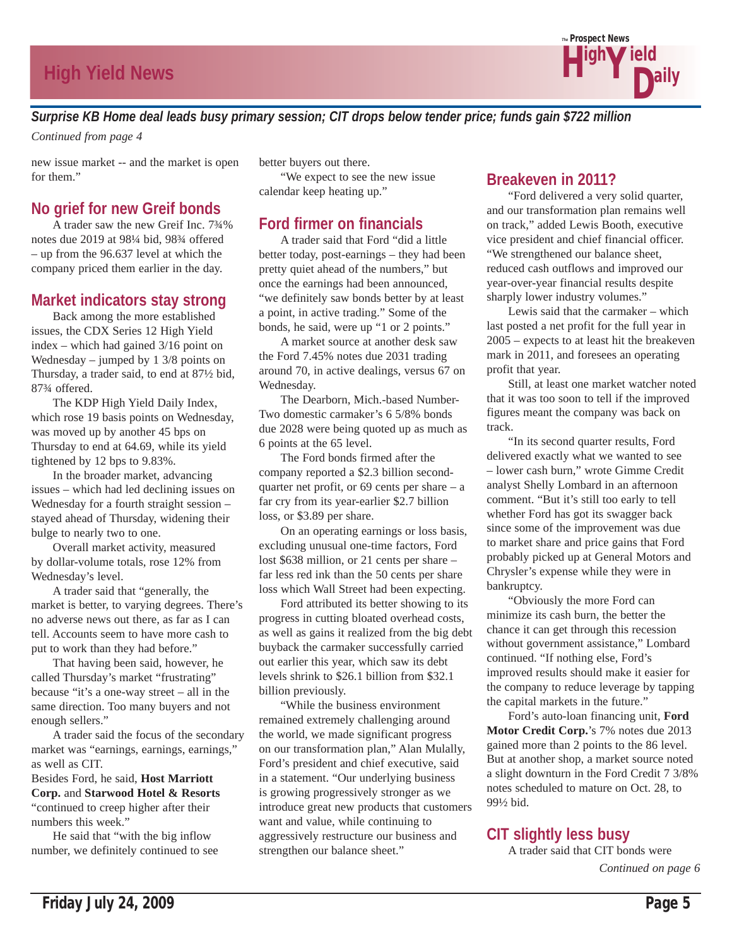

*Surprise KB Home deal leads busy primary session; CIT drops below tender price; funds gain \$722 million*

*Continued from page 4*

new issue market -- and the market is open for them."

### **No grief for new Greif bonds**

 A trader saw the new Greif Inc. 7¾% notes due 2019 at 98¼ bid, 98¾ offered – up from the 96.637 level at which the company priced them earlier in the day.

### **Market indicators stay strong**

 Back among the more established issues, the CDX Series 12 High Yield index – which had gained 3/16 point on Wednesday – jumped by 1 3/8 points on Thursday, a trader said, to end at 87½ bid, 87¾ offered.

 The KDP High Yield Daily Index, which rose 19 basis points on Wednesday, was moved up by another 45 bps on Thursday to end at 64.69, while its yield tightened by 12 bps to 9.83%.

 In the broader market, advancing issues – which had led declining issues on Wednesday for a fourth straight session – stayed ahead of Thursday, widening their bulge to nearly two to one.

 Overall market activity, measured by dollar-volume totals, rose 12% from Wednesday's level.

 A trader said that "generally, the market is better, to varying degrees. There's no adverse news out there, as far as I can tell. Accounts seem to have more cash to put to work than they had before."

 That having been said, however, he called Thursday's market "frustrating" because "it's a one-way street – all in the same direction. Too many buyers and not enough sellers."

 A trader said the focus of the secondary market was "earnings, earnings, earnings," as well as CIT.

Besides Ford, he said, **Host Marriott Corp.** and **Starwood Hotel & Resorts**  "continued to creep higher after their numbers this week."

 He said that "with the big inflow number, we definitely continued to see better buyers out there. "We expect to see the new issue calendar keep heating up."

### **Ford firmer on financials**

 A trader said that Ford "did a little better today, post-earnings – they had been pretty quiet ahead of the numbers," but once the earnings had been announced, "we definitely saw bonds better by at least a point, in active trading." Some of the bonds, he said, were up "1 or 2 points."

 A market source at another desk saw the Ford 7.45% notes due 2031 trading around 70, in active dealings, versus 67 on Wednesday.

 The Dearborn, Mich.-based Number-Two domestic carmaker's 6 5/8% bonds due 2028 were being quoted up as much as 6 points at the 65 level.

 The Ford bonds firmed after the company reported a \$2.3 billion secondquarter net profit, or  $69$  cents per share – a far cry from its year-earlier \$2.7 billion loss, or \$3.89 per share.

 On an operating earnings or loss basis, excluding unusual one-time factors, Ford lost \$638 million, or 21 cents per share – far less red ink than the 50 cents per share loss which Wall Street had been expecting.

 Ford attributed its better showing to its progress in cutting bloated overhead costs, as well as gains it realized from the big debt buyback the carmaker successfully carried out earlier this year, which saw its debt levels shrink to \$26.1 billion from \$32.1 billion previously.

 "While the business environment remained extremely challenging around the world, we made significant progress on our transformation plan," Alan Mulally, Ford's president and chief executive, said in a statement. "Our underlying business is growing progressively stronger as we introduce great new products that customers want and value, while continuing to aggressively restructure our business and strengthen our balance sheet."

### **Breakeven in 2011?**

 "Ford delivered a very solid quarter, and our transformation plan remains well on track," added Lewis Booth, executive vice president and chief financial officer. "We strengthened our balance sheet, reduced cash outflows and improved our year-over-year financial results despite sharply lower industry volumes."

 Lewis said that the carmaker – which last posted a net profit for the full year in 2005 – expects to at least hit the breakeven mark in 2011, and foresees an operating profit that year.

 Still, at least one market watcher noted that it was too soon to tell if the improved figures meant the company was back on track.

 "In its second quarter results, Ford delivered exactly what we wanted to see – lower cash burn," wrote Gimme Credit analyst Shelly Lombard in an afternoon comment. "But it's still too early to tell whether Ford has got its swagger back since some of the improvement was due to market share and price gains that Ford probably picked up at General Motors and Chrysler's expense while they were in bankruptcy.

 "Obviously the more Ford can minimize its cash burn, the better the chance it can get through this recession without government assistance," Lombard continued. "If nothing else, Ford's improved results should make it easier for the company to reduce leverage by tapping the capital markets in the future."

 Ford's auto-loan financing unit, **Ford Motor Credit Corp.**'s 7% notes due 2013 gained more than 2 points to the 86 level. But at another shop, a market source noted a slight downturn in the Ford Credit 7 3/8% notes scheduled to mature on Oct. 28, to 99½ bid.

# **CIT slightly less busy**

 A trader said that CIT bonds were *Continued on page 6*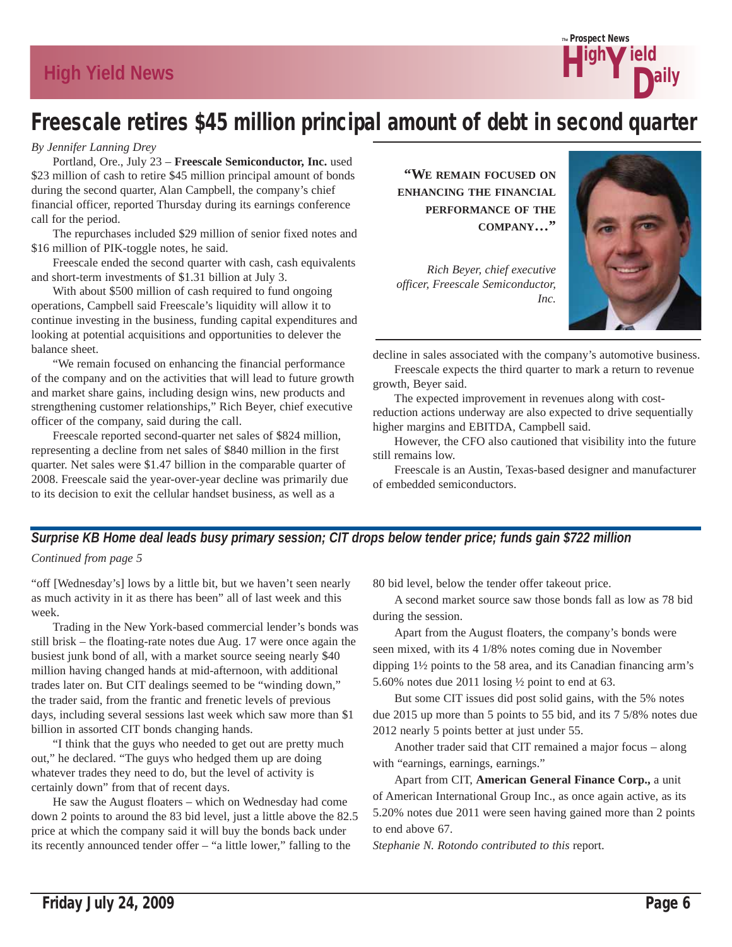

# Freescale retires \$45 million principal amount of debt in second quarter

#### *By Jennifer Lanning Drey*

 Portland, Ore., July 23 – **Freescale Semiconductor, Inc.** used \$23 million of cash to retire \$45 million principal amount of bonds during the second quarter, Alan Campbell, the company's chief financial officer, reported Thursday during its earnings conference call for the period.

 The repurchases included \$29 million of senior fixed notes and \$16 million of PIK-toggle notes, he said.

 Freescale ended the second quarter with cash, cash equivalents and short-term investments of \$1.31 billion at July 3.

With about \$500 million of cash required to fund ongoing operations, Campbell said Freescale's liquidity will allow it to continue investing in the business, funding capital expenditures and looking at potential acquisitions and opportunities to delever the balance sheet.

 "We remain focused on enhancing the financial performance of the company and on the activities that will lead to future growth and market share gains, including design wins, new products and strengthening customer relationships," Rich Beyer, chief executive officer of the company, said during the call.

 Freescale reported second-quarter net sales of \$824 million, representing a decline from net sales of \$840 million in the first quarter. Net sales were \$1.47 billion in the comparable quarter of 2008. Freescale said the year-over-year decline was primarily due to its decision to exit the cellular handset business, as well as a

**"WE REMAIN FOCUSED ON ENHANCING THE FINANCIAL PERFORMANCE OF THE COMPANY…"**

*Rich Beyer, chief executive officer, Freescale Semiconductor, Inc.*



decline in sales associated with the company's automotive business. Freescale expects the third quarter to mark a return to revenue

growth, Beyer said. The expected improvement in revenues along with cost-

reduction actions underway are also expected to drive sequentially higher margins and EBITDA, Campbell said.

 However, the CFO also cautioned that visibility into the future still remains low.

 Freescale is an Austin, Texas-based designer and manufacturer of embedded semiconductors.

### *Surprise KB Home deal leads busy primary session; CIT drops below tender price; funds gain \$722 million Continued from page 5*

"off [Wednesday's] lows by a little bit, but we haven't seen nearly as much activity in it as there has been" all of last week and this week.

 Trading in the New York-based commercial lender's bonds was still brisk – the floating-rate notes due Aug. 17 were once again the busiest junk bond of all, with a market source seeing nearly \$40 million having changed hands at mid-afternoon, with additional trades later on. But CIT dealings seemed to be "winding down," the trader said, from the frantic and frenetic levels of previous days, including several sessions last week which saw more than \$1 billion in assorted CIT bonds changing hands.

 "I think that the guys who needed to get out are pretty much out," he declared. "The guys who hedged them up are doing whatever trades they need to do, but the level of activity is certainly down" from that of recent days.

 He saw the August floaters – which on Wednesday had come down 2 points to around the 83 bid level, just a little above the 82.5 price at which the company said it will buy the bonds back under its recently announced tender offer – "a little lower," falling to the

80 bid level, below the tender offer takeout price.

 A second market source saw those bonds fall as low as 78 bid during the session.

 Apart from the August floaters, the company's bonds were seen mixed, with its 4 1/8% notes coming due in November dipping 1½ points to the 58 area, and its Canadian financing arm's 5.60% notes due 2011 losing ½ point to end at 63.

 But some CIT issues did post solid gains, with the 5% notes due 2015 up more than 5 points to 55 bid, and its 7 5/8% notes due 2012 nearly 5 points better at just under 55.

 Another trader said that CIT remained a major focus – along with "earnings, earnings, earnings."

 Apart from CIT, **American General Finance Corp.,** a unit of American International Group Inc., as once again active, as its 5.20% notes due 2011 were seen having gained more than 2 points to end above 67.

*Stephanie N. Rotondo contributed to this* report.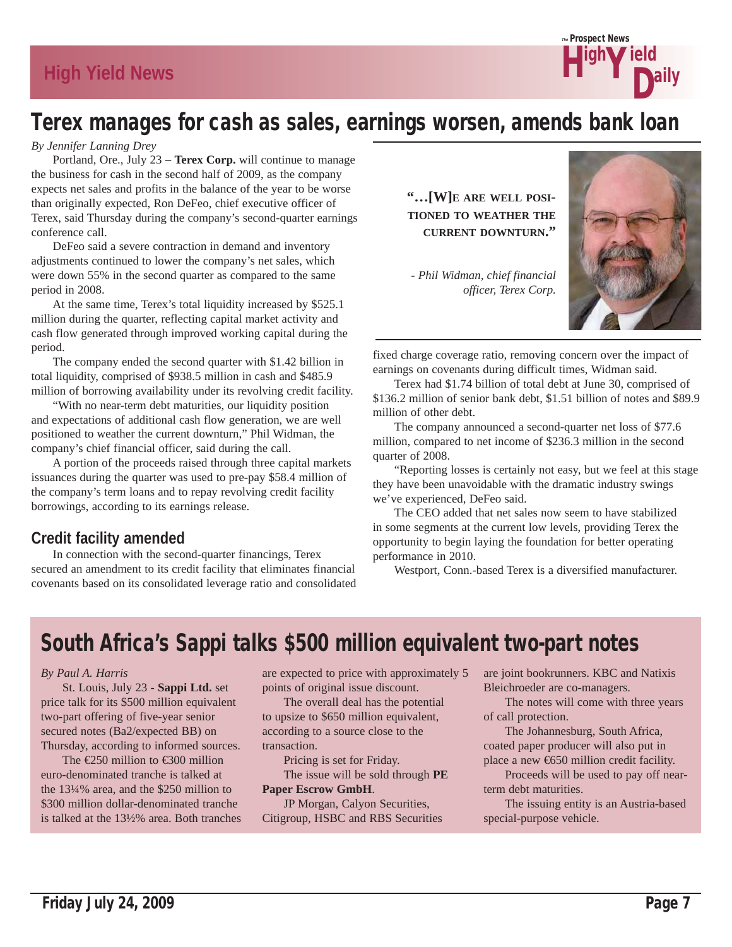

# Terex manages for cash as sales, earnings worsen, amends bank loan

#### *By Jennifer Lanning Drey*

 Portland, Ore., July 23 – **Terex Corp.** will continue to manage the business for cash in the second half of 2009, as the company expects net sales and profits in the balance of the year to be worse than originally expected, Ron DeFeo, chief executive officer of Terex, said Thursday during the company's second-quarter earnings conference call.

 DeFeo said a severe contraction in demand and inventory adjustments continued to lower the company's net sales, which were down 55% in the second quarter as compared to the same period in 2008.

 At the same time, Terex's total liquidity increased by \$525.1 million during the quarter, reflecting capital market activity and cash flow generated through improved working capital during the period.

 The company ended the second quarter with \$1.42 billion in total liquidity, comprised of \$938.5 million in cash and \$485.9 million of borrowing availability under its revolving credit facility.

 "With no near-term debt maturities, our liquidity position and expectations of additional cash flow generation, we are well positioned to weather the current downturn," Phil Widman, the company's chief financial officer, said during the call.

 A portion of the proceeds raised through three capital markets issuances during the quarter was used to pre-pay \$58.4 million of the company's term loans and to repay revolving credit facility borrowings, according to its earnings release.

### **Credit facility amended**

 In connection with the second-quarter financings, Terex secured an amendment to its credit facility that eliminates financial covenants based on its consolidated leverage ratio and consolidated **"…[W]E ARE WELL POSI-TIONED TO WEATHER THE CURRENT DOWNTURN."**

*- Phil Widman, chief financial officer, Terex Corp.*



fixed charge coverage ratio, removing concern over the impact of earnings on covenants during difficult times, Widman said.

 Terex had \$1.74 billion of total debt at June 30, comprised of \$136.2 million of senior bank debt, \$1.51 billion of notes and \$89.9 million of other debt.

 The company announced a second-quarter net loss of \$77.6 million, compared to net income of \$236.3 million in the second quarter of 2008.

 "Reporting losses is certainly not easy, but we feel at this stage they have been unavoidable with the dramatic industry swings we've experienced, DeFeo said.

 The CEO added that net sales now seem to have stabilized in some segments at the current low levels, providing Terex the opportunity to begin laying the foundation for better operating performance in 2010.

Westport, Conn.-based Terex is a diversified manufacturer.

# South Africa's Sappi talks \$500 million equivalent two-part notes

#### *By Paul A. Harris*

 St. Louis, July 23 - **Sappi Ltd.** set price talk for its \$500 million equivalent two-part offering of five-year senior secured notes (Ba2/expected BB) on Thursday, according to informed sources.

The  $\epsilon$ 250 million to  $\epsilon$ 300 million euro-denominated tranche is talked at the 13¼% area, and the \$250 million to \$300 million dollar-denominated tranche is talked at the 13½% area. Both tranches are expected to price with approximately 5 points of original issue discount.

 The overall deal has the potential to upsize to \$650 million equivalent, according to a source close to the transaction.

 Pricing is set for Friday. The issue will be sold through **PE** 

**Paper Escrow GmbH**. JP Morgan, Calyon Securities, Citigroup, HSBC and RBS Securities are joint bookrunners. KBC and Natixis Bleichroeder are co-managers.

 The notes will come with three years of call protection.

 The Johannesburg, South Africa, coated paper producer will also put in place a new €650 million credit facility.

 Proceeds will be used to pay off nearterm debt maturities.

 The issuing entity is an Austria-based special-purpose vehicle.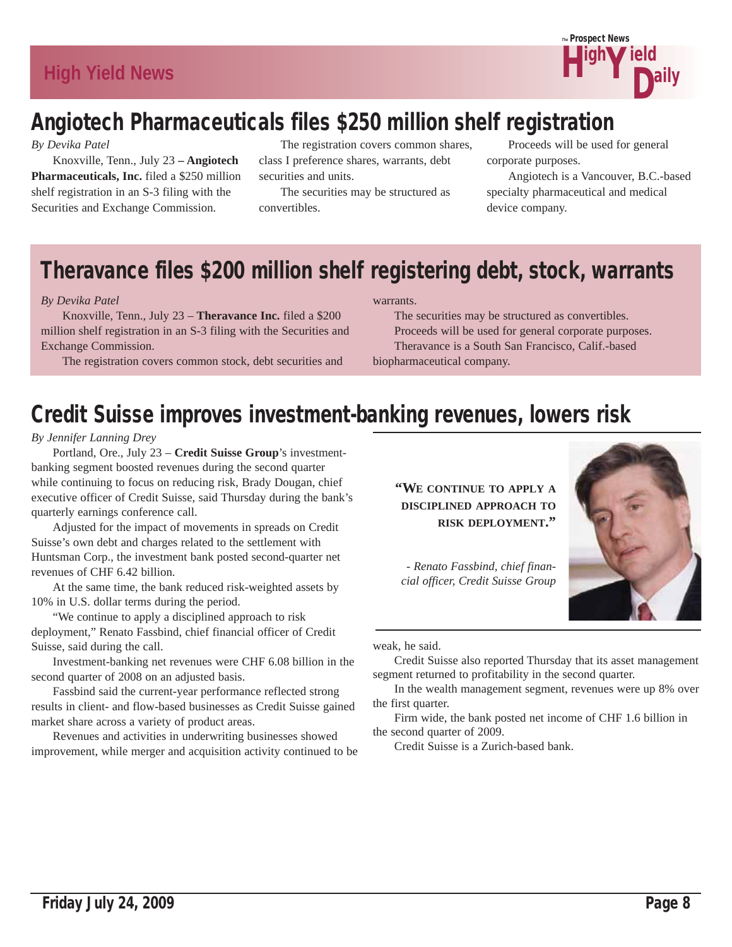

# Angiotech Pharmaceuticals files \$250 million shelf registration

*By Devika Patel*

 Knoxville, Tenn., July 23 **– Angiotech Pharmaceuticals, Inc.** filed a \$250 million shelf registration in an S-3 filing with the Securities and Exchange Commission.

 The registration covers common shares, class I preference shares, warrants, debt securities and units.

 The securities may be structured as convertibles.

 Proceeds will be used for general corporate purposes.

 Angiotech is a Vancouver, B.C.-based specialty pharmaceutical and medical device company.

# Theravance files \$200 million shelf registering debt, stock, warrants

#### *By Devika Patel*

 Knoxville, Tenn., July 23 – **Theravance Inc.** filed a \$200 million shelf registration in an S-3 filing with the Securities and Exchange Commission.

The registration covers common stock, debt securities and

#### warrants.

 The securities may be structured as convertibles. Proceeds will be used for general corporate purposes. Theravance is a South San Francisco, Calif.-based biopharmaceutical company.

# Credit Suisse improves investment-banking revenues, lowers risk

#### *By Jennifer Lanning Drey*

 Portland, Ore., July 23 – **Credit Suisse Group**'s investmentbanking segment boosted revenues during the second quarter while continuing to focus on reducing risk, Brady Dougan, chief executive officer of Credit Suisse, said Thursday during the bank's quarterly earnings conference call.

 Adjusted for the impact of movements in spreads on Credit Suisse's own debt and charges related to the settlement with Huntsman Corp., the investment bank posted second-quarter net revenues of CHF 6.42 billion.

 At the same time, the bank reduced risk-weighted assets by 10% in U.S. dollar terms during the period.

 "We continue to apply a disciplined approach to risk deployment," Renato Fassbind, chief financial officer of Credit Suisse, said during the call.

 Investment-banking net revenues were CHF 6.08 billion in the second quarter of 2008 on an adjusted basis.

 Fassbind said the current-year performance reflected strong results in client- and flow-based businesses as Credit Suisse gained market share across a variety of product areas.

 Revenues and activities in underwriting businesses showed improvement, while merger and acquisition activity continued to be **"WE CONTINUE TO APPLY A DISCIPLINED APPROACH TO RISK DEPLOYMENT."**

*- Renato Fassbind, chief financial officer, Credit Suisse Group*



weak, he said.

 Credit Suisse also reported Thursday that its asset management segment returned to profitability in the second quarter.

 In the wealth management segment, revenues were up 8% over the first quarter.

 Firm wide, the bank posted net income of CHF 1.6 billion in the second quarter of 2009.

Credit Suisse is a Zurich-based bank.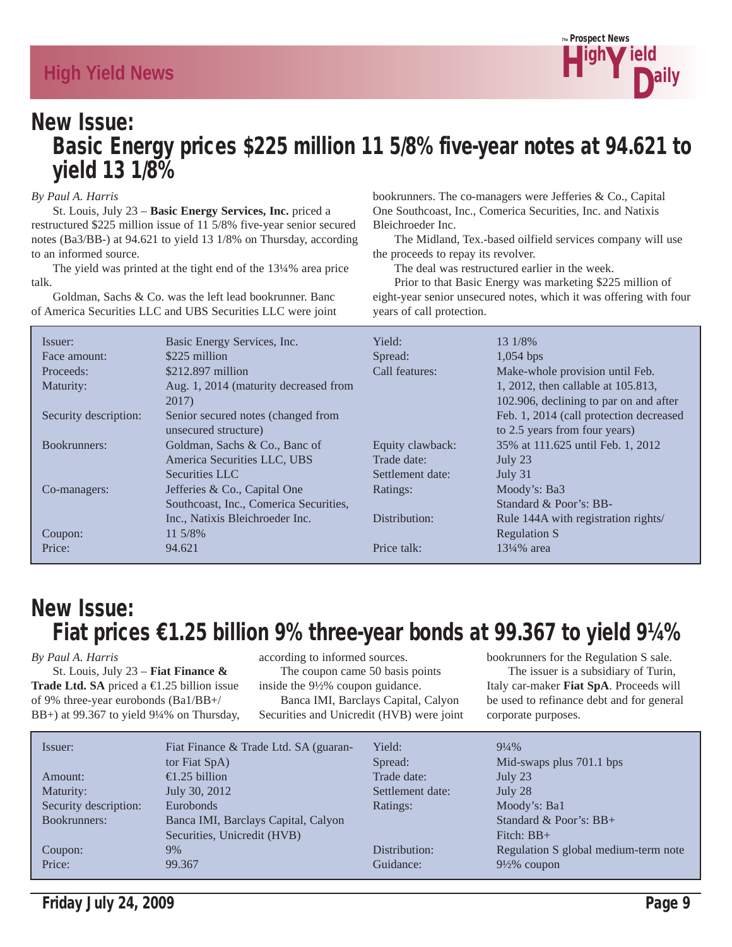

# New Issue: Basic Energy prices \$225 million 11 5/8% five-year notes at 94.621 to yield 13 1/8%

#### *By Paul A. Harris*

 St. Louis, July 23 – **Basic Energy Services, Inc.** priced a restructured \$225 million issue of 11 5/8% five-year senior secured notes (Ba3/BB-) at 94.621 to yield 13 1/8% on Thursday, according to an informed source.

 The yield was printed at the tight end of the 13¼% area price talk.

 Goldman, Sachs & Co. was the left lead bookrunner. Banc of America Securities LLC and UBS Securities LLC were joint bookrunners. The co-managers were Jefferies & Co., Capital One Southcoast, Inc., Comerica Securities, Inc. and Natixis Bleichroeder Inc.

 The Midland, Tex.-based oilfield services company will use the proceeds to repay its revolver.

The deal was restructured earlier in the week.

 Prior to that Basic Energy was marketing \$225 million of eight-year senior unsecured notes, which it was offering with four years of call protection.

| Issuer:               | Basic Energy Services, Inc.            | Yield:           | 13 1/8%                                 |
|-----------------------|----------------------------------------|------------------|-----------------------------------------|
| Face amount:          | \$225 million                          | Spread:          | $1,054$ bps                             |
| Proceeds:             | $$212.897$ million                     | Call features:   | Make-whole provision until Feb.         |
| Maturity:             | Aug. 1, 2014 (maturity decreased from  |                  | 1, 2012, then callable at 105.813,      |
|                       | 2017)                                  |                  | 102.906, declining to par on and after  |
| Security description: | Senior secured notes (changed from     |                  | Feb. 1, 2014 (call protection decreased |
|                       | unsecured structure)                   |                  | to 2.5 years from four years)           |
| Bookrunners:          | Goldman, Sachs & Co., Banc of          | Equity clawback: | 35% at 111.625 until Feb. 1, 2012       |
|                       | America Securities LLC, UBS            | Trade date:      | July 23                                 |
|                       | Securities LLC                         | Settlement date: | July $31$                               |
| Co-managers:          | Jefferies & Co., Capital One           | Ratings:         | Moody's: Ba3                            |
|                       | Southcoast, Inc., Comerica Securities, |                  | Standard & Poor's: BB-                  |
|                       | Inc., Natixis Bleichroeder Inc.        | Distribution:    | Rule 144A with registration rights/     |
| Coupon:               | 11 5/8%                                |                  | <b>Regulation S</b>                     |
| Price:                | 94.621                                 | Price talk:      | $13\frac{1}{4}\%$ area                  |

# New Issue: Fiat prices €1.25 billion 9% three-year bonds at 99.367 to yield 9¼%

#### *By Paul A. Harris*

 St. Louis, July 23 – **Fiat Finance & Trade Ltd. SA** priced a €1.25 billion issue of 9% three-year eurobonds (Ba1/BB+/ BB+) at 99.367 to yield 9¼% on Thursday, according to informed sources. The coupon came 50 basis points inside the 9½% coupon guidance. Banca IMI, Barclays Capital, Calyon Securities and Unicredit (HVB) were joint bookrunners for the Regulation S sale. The issuer is a subsidiary of Turin, Italy car-maker **Fiat SpA**. Proceeds will be used to refinance debt and for general corporate purposes.

| Issuer:               | Fiat Finance & Trade Ltd. SA (guaran- | Yield:           | $9\frac{1}{4}\%$                     |
|-----------------------|---------------------------------------|------------------|--------------------------------------|
|                       | tor Fiat SpA)                         | Spread:          | Mid-swaps plus 701.1 bps             |
| Amount:               | $\epsilon$ .25 billion                | Trade date:      | July 23                              |
| Maturity:             | July 30, 2012                         | Settlement date: | July 28                              |
| Security description: | Eurobonds                             | Ratings:         | Moody's: Ba1                         |
| Bookrunners:          | Banca IMI, Barclays Capital, Calyon   |                  | Standard & Poor's: $BB+$             |
|                       | Securities, Unicredit (HVB)           |                  | Fitch: $BB+$                         |
| Coupon:               | $9\%$                                 | Distribution:    | Regulation S global medium-term note |
| Price:                | 99.367                                | Guidance:        | $9\frac{1}{2}\%$ coupon              |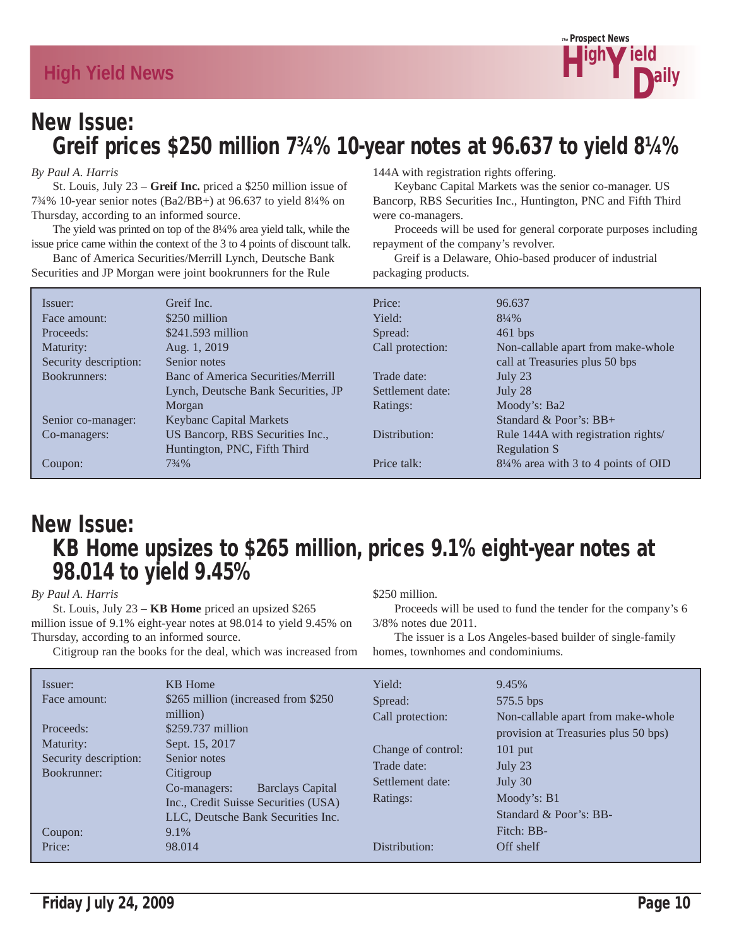

# New Issue: Greif prices \$250 million 7¾% 10-year notes at 96.637 to yield 8¼%

#### *By Paul A. Harris*

 St. Louis, July 23 – **Greif Inc.** priced a \$250 million issue of 7¾% 10-year senior notes (Ba2/BB+) at 96.637 to yield 8¼% on Thursday, according to an informed source.

 The yield was printed on top of the 8¼% area yield talk, while the issue price came within the context of the 3 to 4 points of discount talk.

 Banc of America Securities/Merrill Lynch, Deutsche Bank Securities and JP Morgan were joint bookrunners for the Rule

144A with registration rights offering.

 Keybanc Capital Markets was the senior co-manager. US Bancorp, RBS Securities Inc., Huntington, PNC and Fifth Third were co-managers.

 Proceeds will be used for general corporate purposes including repayment of the company's revolver.

 Greif is a Delaware, Ohio-based producer of industrial packaging products.

| Issuer:               | Greif Inc.                          | Price:           | 96.637                               |
|-----------------------|-------------------------------------|------------------|--------------------------------------|
| Face amount:          | \$250 million                       | Yield:           | $8\frac{1}{4}\%$                     |
| Proceeds:             | $$241.593$ million                  | Spread:          | $461$ bps                            |
| Maturity:             | Aug. 1, 2019                        | Call protection: | Non-callable apart from make-whole   |
| Security description: | Senior notes                        |                  | call at Treasuries plus 50 bps       |
| Bookrunners:          | Banc of America Securities/Merrill  | Trade date:      | July 23                              |
|                       | Lynch, Deutsche Bank Securities, JP | Settlement date: | July 28                              |
|                       | Morgan                              | Ratings:         | Moody's: Ba2                         |
| Senior co-manager:    | <b>Keybanc Capital Markets</b>      |                  | Standard & Poor's: $BB+$             |
| Co-managers:          | US Bancorp, RBS Securities Inc.,    | Distribution:    | Rule 144A with registration rights/  |
|                       | Huntington, PNC, Fifth Third        |                  | <b>Regulation S</b>                  |
| Coupon:               | $73/4\%$                            | Price talk:      | 81/4% area with 3 to 4 points of OID |

# New Issue: KB Home upsizes to \$265 million, prices 9.1% eight-year notes at 98.014 to yield 9.45%

*By Paul A. Harris*

 St. Louis, July 23 – **KB Home** priced an upsized \$265 million issue of 9.1% eight-year notes at 98.014 to yield 9.45% on Thursday, according to an informed source.

Citigroup ran the books for the deal, which was increased from

\$250 million.

 Proceeds will be used to fund the tender for the company's 6 3/8% notes due 2011.

 The issuer is a Los Angeles-based builder of single-family homes, townhomes and condominiums.

| Issuer:<br>Face amount:<br>Proceeds:<br>Maturity:<br>Security description:<br>Bookrunner:<br>Coupon: | <b>KB</b> Home<br>\$265 million (increased from \$250)<br>million)<br>\$259.737 million<br>Sept. 15, 2017<br>Senior notes<br>Citigroup<br><b>Barclays Capital</b><br>Co-managers:<br>Inc., Credit Suisse Securities (USA)<br>LLC, Deutsche Bank Securities Inc.<br>9.1% | Yield:<br>Spread:<br>Call protection:<br>Change of control:<br>Trade date:<br>Settlement date:<br>Ratings: | 9.45%<br>575.5 bps<br>Non-callable apart from make-whole<br>provision at Treasuries plus 50 bps)<br>$101$ put<br>July 23<br>July 30<br>Moody's: B1<br>Standard & Poor's: BB-<br>Fitch: BB- |
|------------------------------------------------------------------------------------------------------|-------------------------------------------------------------------------------------------------------------------------------------------------------------------------------------------------------------------------------------------------------------------------|------------------------------------------------------------------------------------------------------------|--------------------------------------------------------------------------------------------------------------------------------------------------------------------------------------------|
| Price:                                                                                               | 98.014                                                                                                                                                                                                                                                                  | Distribution:                                                                                              | Off shelf                                                                                                                                                                                  |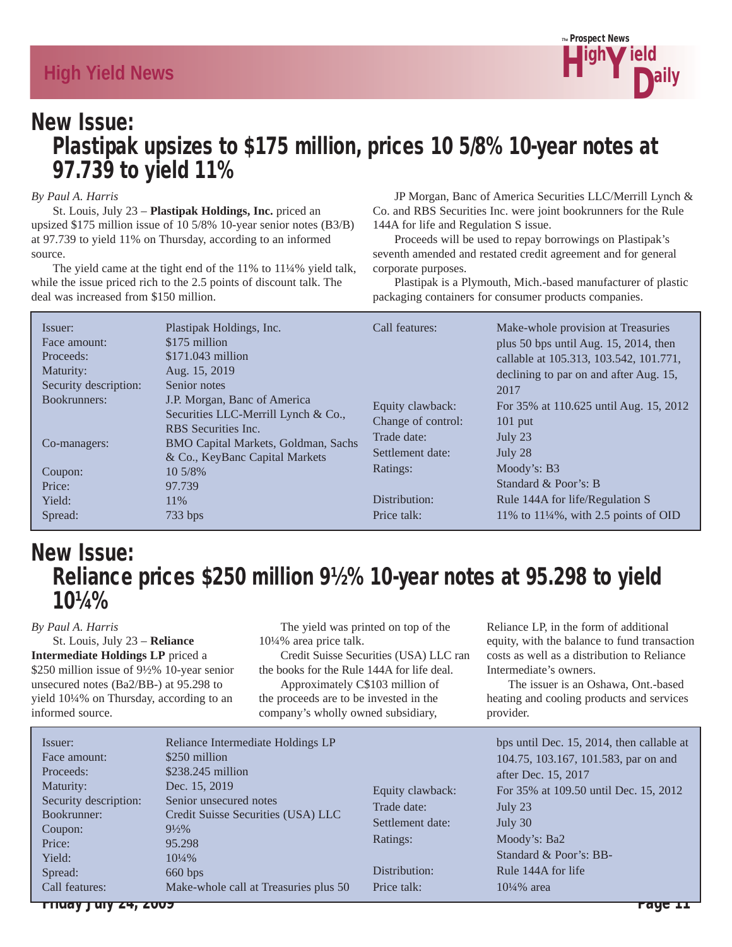

# New Issue: Plastipak upsizes to \$175 million, prices 10 5/8% 10-year notes at 97.739 to yield 11%

#### *By Paul A. Harris*

 St. Louis, July 23 – **Plastipak Holdings, Inc.** priced an upsized \$175 million issue of 10 5/8% 10-year senior notes (B3/B) at 97.739 to yield 11% on Thursday, according to an informed source.

 The yield came at the tight end of the 11% to 11¼% yield talk, while the issue priced rich to the 2.5 points of discount talk. The deal was increased from \$150 million.

 JP Morgan, Banc of America Securities LLC/Merrill Lynch & Co. and RBS Securities Inc. were joint bookrunners for the Rule 144A for life and Regulation S issue.

 Proceeds will be used to repay borrowings on Plastipak's seventh amended and restated credit agreement and for general corporate purposes.

 Plastipak is a Plymouth, Mich.-based manufacturer of plastic packaging containers for consumer products companies.

| Issuer:<br>Face amount:<br>Proceeds:<br>Maturity:<br>Security description:<br>Bookrunners:<br>Co-managers:<br>Coupon:<br>Price:<br>Yield: | Plastipak Holdings, Inc.<br>\$175 million<br>$$171.043$ million<br>Aug. 15, 2019<br>Senior notes<br>J.P. Morgan, Banc of America<br>Securities LLC-Merrill Lynch & Co.,<br>RBS Securities Inc.<br>BMO Capital Markets, Goldman, Sachs<br>& Co., KeyBanc Capital Markets<br>$10,5/8\%$<br>97.739<br>11\% | Call features:<br>Equity clawback:<br>Change of control:<br>Trade date:<br>Settlement date:<br>Ratings:<br>Distribution:<br>Price talk: | Make-whole provision at Treasuries<br>plus 50 bps until Aug. $15$ , 2014, then<br>callable at 105.313, 103.542, 101.771,<br>declining to par on and after Aug. 15,<br>2017<br>For 35% at 110.625 until Aug. 15, 2012<br>$101$ put<br>July 23<br>July 28<br>Moody's: B3<br>Standard & Poor's: B<br>Rule 144A for life/Regulation S<br>11% to $11\frac{1}{4}\%$ , with 2.5 points of OID |
|-------------------------------------------------------------------------------------------------------------------------------------------|---------------------------------------------------------------------------------------------------------------------------------------------------------------------------------------------------------------------------------------------------------------------------------------------------------|-----------------------------------------------------------------------------------------------------------------------------------------|----------------------------------------------------------------------------------------------------------------------------------------------------------------------------------------------------------------------------------------------------------------------------------------------------------------------------------------------------------------------------------------|
| Spread:                                                                                                                                   | 733 bps                                                                                                                                                                                                                                                                                                 |                                                                                                                                         |                                                                                                                                                                                                                                                                                                                                                                                        |

# New Issue: Reliance prices \$250 million 9½% 10-year notes at 95.298 to yield 10¼%

#### *By Paul A. Harris*

 St. Louis, July 23 – **Reliance Intermediate Holdings LP** priced a \$250 million issue of 9½% 10-year senior unsecured notes (Ba2/BB-) at 95.298 to yield 10¼% on Thursday, according to an informed source.

 The yield was printed on top of the 10¼% area price talk.

 Credit Suisse Securities (USA) LLC ran the books for the Rule 144A for life deal. Approximately C\$103 million of the proceeds are to be invested in the company's wholly owned subsidiary,

Reliance LP, in the form of additional equity, with the balance to fund transaction costs as well as a distribution to Reliance Intermediate's owners.

 The issuer is an Oshawa, Ont.-based heating and cooling products and services provider.

| Issuer:<br>\$250 million<br>Face amount:<br>$$238.245$ million<br>Proceeds:<br>Dec. 15, 2019<br>Maturity:<br>Senior unsecured notes<br>Security description:<br>Bookrunner:<br>$9\frac{1}{2}\%$<br>Coupon:<br>Price:<br>95.298<br>Yield:<br>$10\frac{1}{4}\%$<br>660 bps<br>Spread:<br>Call features: | Reliance Intermediate Holdings LP<br>Equity clawback:<br>Trade date:<br>Credit Suisse Securities (USA) LLC<br>Settlement date:<br>Ratings:<br>Distribution:<br>Make-whole call at Treasuries plus 50<br>Price talk: | bps until Dec. 15, 2014, then callable at<br>104.75, 103.167, 101.583, par on and<br>after Dec. 15, 2017<br>For 35% at 109.50 until Dec. 15, 2012<br>July 23<br>July 30<br>Moody's: Ba2<br>Standard & Poor's: BB-<br>Rule 144A for life<br>$10\frac{1}{4}\%$ area |
|-------------------------------------------------------------------------------------------------------------------------------------------------------------------------------------------------------------------------------------------------------------------------------------------------------|---------------------------------------------------------------------------------------------------------------------------------------------------------------------------------------------------------------------|-------------------------------------------------------------------------------------------------------------------------------------------------------------------------------------------------------------------------------------------------------------------|
|-------------------------------------------------------------------------------------------------------------------------------------------------------------------------------------------------------------------------------------------------------------------------------------------------------|---------------------------------------------------------------------------------------------------------------------------------------------------------------------------------------------------------------------|-------------------------------------------------------------------------------------------------------------------------------------------------------------------------------------------------------------------------------------------------------------------|

Friday July 24, 2009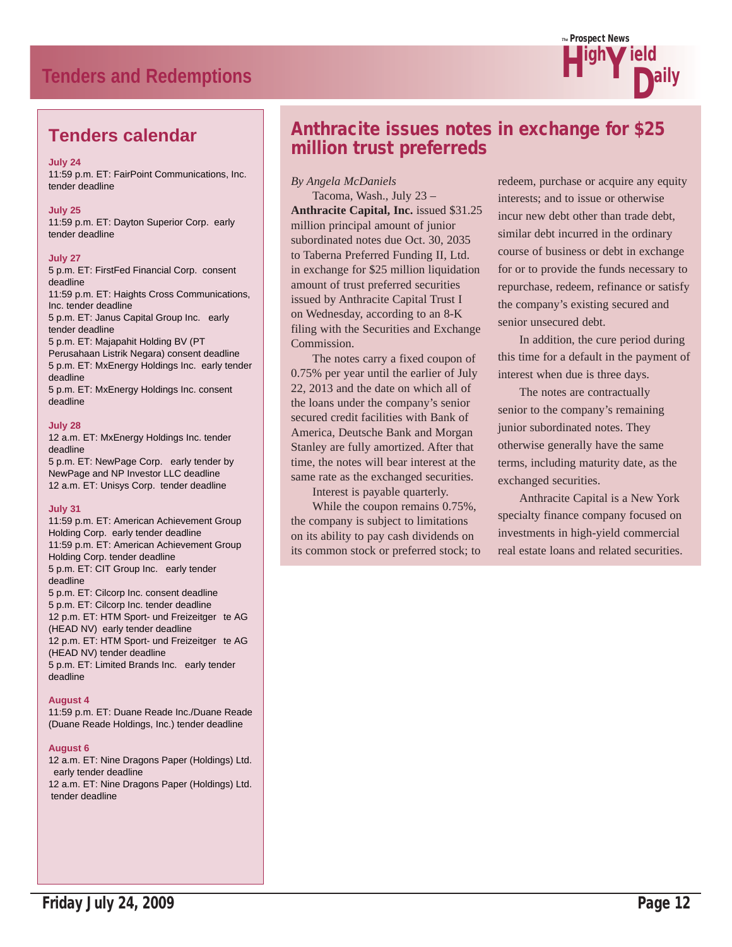# **Tenders and Redemptions**



# **Tenders calendar**

#### **July 24**

11:59 p.m. ET: FairPoint Communications, Inc. tender deadline

#### **July 25**

11:59 p.m. ET: Dayton Superior Corp. early tender deadline

#### **July 27**

5 p.m. ET: FirstFed Financial Corp. consent deadline 11:59 p.m. ET: Haights Cross Communications, Inc. tender deadline 5 p.m. ET: Janus Capital Group Inc. early tender deadline 5 p.m. ET: Majapahit Holding BV (PT Perusahaan Listrik Negara) consent deadline 5 p.m. ET: MxEnergy Holdings Inc. early tender deadline 5 p.m. ET: MxEnergy Holdings Inc. consent deadline

#### **July 28**

12 a.m. ET: MxEnergy Holdings Inc. tender deadline 5 p.m. ET: NewPage Corp. early tender by

NewPage and NP Investor LLC deadline 12 a.m. ET: Unisys Corp. tender deadline

#### **July 31**

11:59 p.m. ET: American Achievement Group Holding Corp. early tender deadline 11:59 p.m. ET: American Achievement Group Holding Corp. tender deadline 5 p.m. ET: CIT Group Inc. early tender deadline 5 p.m. ET: Cilcorp Inc. consent deadline 5 p.m. ET: Cilcorp Inc. tender deadline 12 p.m. ET: HTM Sport- und Freizeitger te AG (HEAD NV) early tender deadline 12 p.m. ET: HTM Sport- und Freizeitger te AG (HEAD NV) tender deadline 5 p.m. ET: Limited Brands Inc. early tender deadline

#### **August 4**

11:59 p.m. ET: Duane Reade Inc./Duane Reade (Duane Reade Holdings, Inc.) tender deadline

#### **August 6**

12 a.m. ET: Nine Dragons Paper (Holdings) Ltd. early tender deadline 12 a.m. ET: Nine Dragons Paper (Holdings) Ltd. tender deadline

# Anthracite issues notes in exchange for \$25 million trust preferreds

#### *By Angela McDaniels*

 Tacoma, Wash., July 23 – **Anthracite Capital, Inc.** issued \$31.25 million principal amount of junior subordinated notes due Oct. 30, 2035 to Taberna Preferred Funding II, Ltd. in exchange for \$25 million liquidation amount of trust preferred securities issued by Anthracite Capital Trust I on Wednesday, according to an 8-K filing with the Securities and Exchange Commission.

 The notes carry a fixed coupon of 0.75% per year until the earlier of July 22, 2013 and the date on which all of the loans under the company's senior secured credit facilities with Bank of America, Deutsche Bank and Morgan Stanley are fully amortized. After that time, the notes will bear interest at the same rate as the exchanged securities.

Interest is payable quarterly.

 While the coupon remains 0.75%, the company is subject to limitations on its ability to pay cash dividends on its common stock or preferred stock; to redeem, purchase or acquire any equity interests; and to issue or otherwise incur new debt other than trade debt, similar debt incurred in the ordinary course of business or debt in exchange for or to provide the funds necessary to repurchase, redeem, refinance or satisfy the company's existing secured and senior unsecured debt.

 In addition, the cure period during this time for a default in the payment of interest when due is three days.

 The notes are contractually senior to the company's remaining junior subordinated notes. They otherwise generally have the same terms, including maturity date, as the exchanged securities.

 Anthracite Capital is a New York specialty finance company focused on investments in high-yield commercial real estate loans and related securities.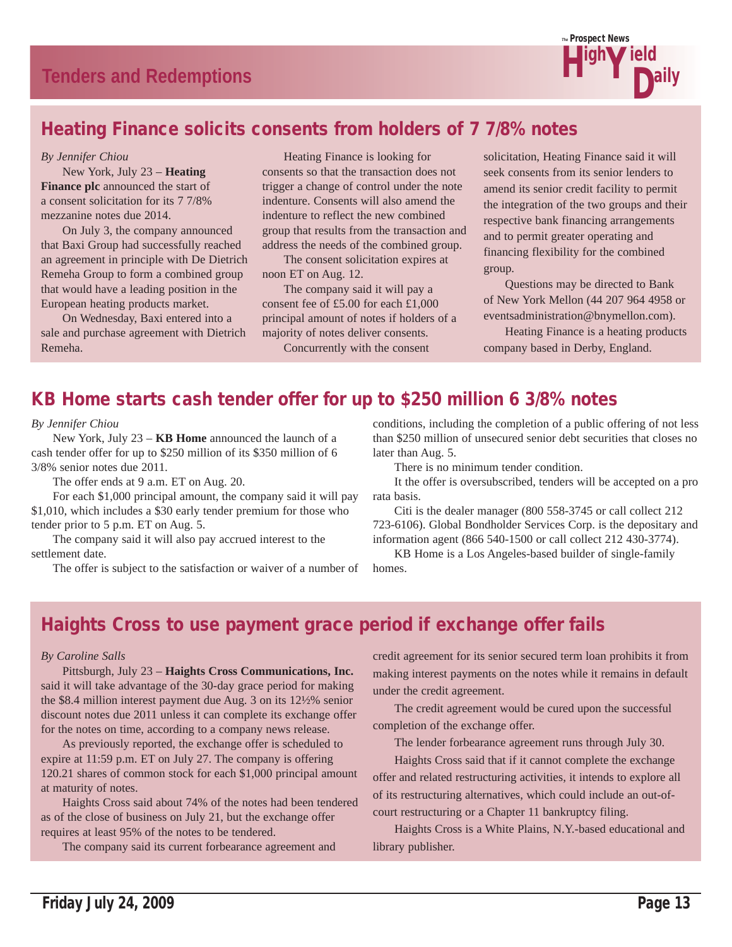

# Heating Finance solicits consents from holders of 7 7/8% notes

#### *By Jennifer Chiou*

 New York, July 23 – **Heating Finance plc** announced the start of a consent solicitation for its 7 7/8% mezzanine notes due 2014.

 On July 3, the company announced that Baxi Group had successfully reached an agreement in principle with De Dietrich Remeha Group to form a combined group that would have a leading position in the European heating products market.

 On Wednesday, Baxi entered into a sale and purchase agreement with Dietrich Remeha.

 Heating Finance is looking for consents so that the transaction does not trigger a change of control under the note indenture. Consents will also amend the indenture to reflect the new combined group that results from the transaction and address the needs of the combined group.

 The consent solicitation expires at noon ET on Aug. 12.

 The company said it will pay a consent fee of £5.00 for each £1,000 principal amount of notes if holders of a majority of notes deliver consents. Concurrently with the consent

solicitation, Heating Finance said it will seek consents from its senior lenders to amend its senior credit facility to permit the integration of the two groups and their respective bank financing arrangements and to permit greater operating and financing flexibility for the combined group.

 Questions may be directed to Bank of New York Mellon (44 207 964 4958 or eventsadministration@bnymellon.com).

 Heating Finance is a heating products company based in Derby, England.

# KB Home starts cash tender offer for up to \$250 million 6 3/8% notes

*By Jennifer Chiou*

 New York, July 23 – **KB Home** announced the launch of a cash tender offer for up to \$250 million of its \$350 million of 6 3/8% senior notes due 2011.

The offer ends at 9 a.m. ET on Aug. 20.

 For each \$1,000 principal amount, the company said it will pay \$1,010, which includes a \$30 early tender premium for those who tender prior to 5 p.m. ET on Aug. 5.

 The company said it will also pay accrued interest to the settlement date.

The offer is subject to the satisfaction or waiver of a number of

conditions, including the completion of a public offering of not less than \$250 million of unsecured senior debt securities that closes no later than Aug. 5.

There is no minimum tender condition.

 It the offer is oversubscribed, tenders will be accepted on a pro rata basis.

 Citi is the dealer manager (800 558-3745 or call collect 212 723-6106). Global Bondholder Services Corp. is the depositary and information agent (866 540-1500 or call collect 212 430-3774).

 KB Home is a Los Angeles-based builder of single-family homes.

# Haights Cross to use payment grace period if exchange offer fails

#### *By Caroline Salls*

 Pittsburgh, July 23 – **Haights Cross Communications, Inc.** said it will take advantage of the 30-day grace period for making the \$8.4 million interest payment due Aug. 3 on its 12½% senior discount notes due 2011 unless it can complete its exchange offer for the notes on time, according to a company news release.

 As previously reported, the exchange offer is scheduled to expire at 11:59 p.m. ET on July 27. The company is offering 120.21 shares of common stock for each \$1,000 principal amount at maturity of notes.

 Haights Cross said about 74% of the notes had been tendered as of the close of business on July 21, but the exchange offer requires at least 95% of the notes to be tendered.

The company said its current forbearance agreement and

credit agreement for its senior secured term loan prohibits it from making interest payments on the notes while it remains in default under the credit agreement.

 The credit agreement would be cured upon the successful completion of the exchange offer.

The lender forbearance agreement runs through July 30.

 Haights Cross said that if it cannot complete the exchange offer and related restructuring activities, it intends to explore all of its restructuring alternatives, which could include an out-ofcourt restructuring or a Chapter 11 bankruptcy filing.

 Haights Cross is a White Plains, N.Y.-based educational and library publisher.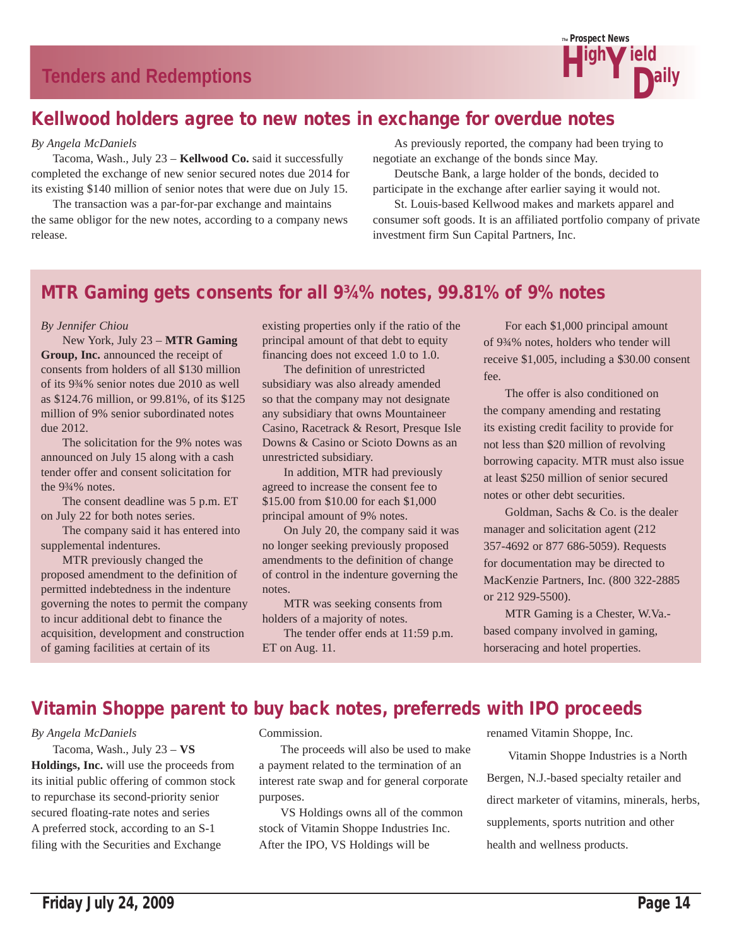

# Kellwood holders agree to new notes in exchange for overdue notes

#### *By Angela McDaniels*

 Tacoma, Wash., July 23 – **Kellwood Co.** said it successfully completed the exchange of new senior secured notes due 2014 for its existing \$140 million of senior notes that were due on July 15.

 The transaction was a par-for-par exchange and maintains the same obligor for the new notes, according to a company news release.

 As previously reported, the company had been trying to negotiate an exchange of the bonds since May.

 Deutsche Bank, a large holder of the bonds, decided to participate in the exchange after earlier saying it would not.

 St. Louis-based Kellwood makes and markets apparel and consumer soft goods. It is an affiliated portfolio company of private investment firm Sun Capital Partners, Inc.

# MTR Gaming gets consents for all 9¾% notes, 99.81% of 9% notes

#### *By Jennifer Chiou*

 New York, July 23 – **MTR Gaming Group, Inc.** announced the receipt of consents from holders of all \$130 million of its 9¾% senior notes due 2010 as well as \$124.76 million, or 99.81%, of its \$125 million of 9% senior subordinated notes due 2012.

 The solicitation for the 9% notes was announced on July 15 along with a cash tender offer and consent solicitation for the 9¾% notes.

 The consent deadline was 5 p.m. ET on July 22 for both notes series.

 The company said it has entered into supplemental indentures.

 MTR previously changed the proposed amendment to the definition of permitted indebtedness in the indenture governing the notes to permit the company to incur additional debt to finance the acquisition, development and construction of gaming facilities at certain of its

existing properties only if the ratio of the principal amount of that debt to equity financing does not exceed 1.0 to 1.0.

 The definition of unrestricted subsidiary was also already amended so that the company may not designate any subsidiary that owns Mountaineer Casino, Racetrack & Resort, Presque Isle Downs & Casino or Scioto Downs as an unrestricted subsidiary.

 In addition, MTR had previously agreed to increase the consent fee to \$15.00 from \$10.00 for each \$1,000 principal amount of 9% notes.

 On July 20, the company said it was no longer seeking previously proposed amendments to the definition of change of control in the indenture governing the notes.

 MTR was seeking consents from holders of a majority of notes.

 The tender offer ends at 11:59 p.m. ET on Aug. 11.

 For each \$1,000 principal amount of 9¾% notes, holders who tender will receive \$1,005, including a \$30.00 consent fee.

 The offer is also conditioned on the company amending and restating its existing credit facility to provide for not less than \$20 million of revolving borrowing capacity. MTR must also issue at least \$250 million of senior secured notes or other debt securities.

 Goldman, Sachs & Co. is the dealer manager and solicitation agent (212 357-4692 or 877 686-5059). Requests for documentation may be directed to MacKenzie Partners, Inc. (800 322-2885 or 212 929-5500).

 MTR Gaming is a Chester, W.Va. based company involved in gaming, horseracing and hotel properties.

# Vitamin Shoppe parent to buy back notes, preferreds with IPO proceeds

#### *By Angela McDaniels*

 Tacoma, Wash., July 23 – **VS Holdings, Inc.** will use the proceeds from its initial public offering of common stock to repurchase its second-priority senior secured floating-rate notes and series A preferred stock, according to an S-1 filing with the Securities and Exchange

Commission.

 The proceeds will also be used to make a payment related to the termination of an interest rate swap and for general corporate purposes.

 VS Holdings owns all of the common stock of Vitamin Shoppe Industries Inc. After the IPO, VS Holdings will be

renamed Vitamin Shoppe, Inc.

 Vitamin Shoppe Industries is a North Bergen, N.J.-based specialty retailer and direct marketer of vitamins, minerals, herbs, supplements, sports nutrition and other health and wellness products.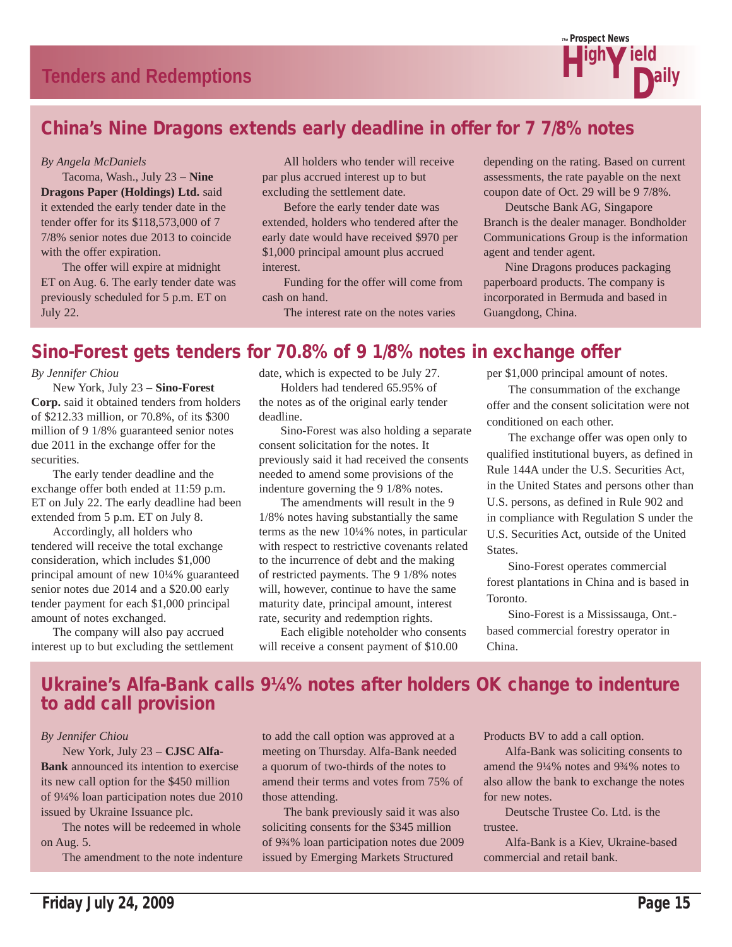

# China's Nine Dragons extends early deadline in offer for 7 7/8% notes

#### *By Angela McDaniels*

 Tacoma, Wash., July 23 – **Nine Dragons Paper (Holdings) Ltd.** said it extended the early tender date in the tender offer for its \$118,573,000 of 7 7/8% senior notes due 2013 to coincide with the offer expiration.

 The offer will expire at midnight ET on Aug. 6. The early tender date was previously scheduled for 5 p.m. ET on July 22.

 All holders who tender will receive par plus accrued interest up to but excluding the settlement date.

 Before the early tender date was extended, holders who tendered after the early date would have received \$970 per \$1,000 principal amount plus accrued interest.

 Funding for the offer will come from cash on hand.

The interest rate on the notes varies

depending on the rating. Based on current assessments, the rate payable on the next coupon date of Oct. 29 will be 9 7/8%.

 Deutsche Bank AG, Singapore Branch is the dealer manager. Bondholder Communications Group is the information agent and tender agent.

 Nine Dragons produces packaging paperboard products. The company is incorporated in Bermuda and based in Guangdong, China.

# Sino-Forest gets tenders for 70.8% of 9 1/8% notes in exchange offer

*By Jennifer Chiou*

 New York, July 23 – **Sino-Forest Corp.** said it obtained tenders from holders of \$212.33 million, or 70.8%, of its \$300 million of 9 1/8% guaranteed senior notes due 2011 in the exchange offer for the securities.

 The early tender deadline and the exchange offer both ended at 11:59 p.m. ET on July 22. The early deadline had been extended from 5 p.m. ET on July 8.

 Accordingly, all holders who tendered will receive the total exchange consideration, which includes \$1,000 principal amount of new 10¼% guaranteed senior notes due 2014 and a \$20.00 early tender payment for each \$1,000 principal amount of notes exchanged.

 The company will also pay accrued interest up to but excluding the settlement date, which is expected to be July 27. Holders had tendered 65.95% of the notes as of the original early tender deadline.

 Sino-Forest was also holding a separate consent solicitation for the notes. It previously said it had received the consents needed to amend some provisions of the indenture governing the 9 1/8% notes.

 The amendments will result in the 9 1/8% notes having substantially the same terms as the new 10¼% notes, in particular with respect to restrictive covenants related to the incurrence of debt and the making of restricted payments. The 9 1/8% notes will, however, continue to have the same maturity date, principal amount, interest rate, security and redemption rights.

 Each eligible noteholder who consents will receive a consent payment of \$10.00

per \$1,000 principal amount of notes.

 The consummation of the exchange offer and the consent solicitation were not conditioned on each other.

 The exchange offer was open only to qualified institutional buyers, as defined in Rule 144A under the U.S. Securities Act, in the United States and persons other than U.S. persons, as defined in Rule 902 and in compliance with Regulation S under the U.S. Securities Act, outside of the United States.

 Sino-Forest operates commercial forest plantations in China and is based in Toronto.

 Sino-Forest is a Mississauga, Ont. based commercial forestry operator in China.

# Ukraine's Alfa-Bank calls 9¼% notes after holders OK change to indenture to add call provision

#### *By Jennifer Chiou*

 New York, July 23 – **CJSC Alfa-Bank** announced its intention to exercise its new call option for the \$450 million of 9¼% loan participation notes due 2010 issued by Ukraine Issuance plc.

 The notes will be redeemed in whole on Aug. 5.

The amendment to the note indenture

to add the call option was approved at a meeting on Thursday. Alfa-Bank needed a quorum of two-thirds of the notes to amend their terms and votes from 75% of those attending.

 The bank previously said it was also soliciting consents for the \$345 million of 9¾% loan participation notes due 2009 issued by Emerging Markets Structured

Products BV to add a call option.

 Alfa-Bank was soliciting consents to amend the 9¼% notes and 9¾% notes to also allow the bank to exchange the notes for new notes.

 Deutsche Trustee Co. Ltd. is the trustee.

 Alfa-Bank is a Kiev, Ukraine-based commercial and retail bank.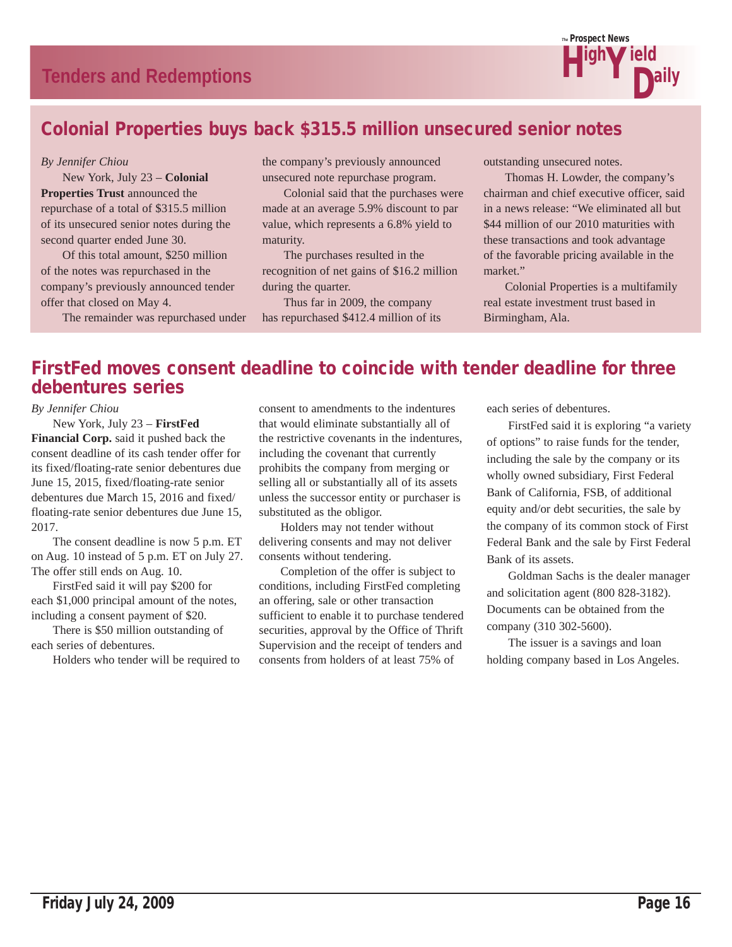

# Colonial Properties buys back \$315.5 million unsecured senior notes

#### *By Jennifer Chiou*

 New York, July 23 – **Colonial Properties Trust** announced the repurchase of a total of \$315.5 million of its unsecured senior notes during the second quarter ended June 30.

 Of this total amount, \$250 million of the notes was repurchased in the company's previously announced tender offer that closed on May 4.

The remainder was repurchased under

the company's previously announced unsecured note repurchase program.

 Colonial said that the purchases were made at an average 5.9% discount to par value, which represents a 6.8% yield to maturity.

 The purchases resulted in the recognition of net gains of \$16.2 million during the quarter.

 Thus far in 2009, the company has repurchased \$412.4 million of its outstanding unsecured notes.

 Thomas H. Lowder, the company's chairman and chief executive officer, said in a news release: "We eliminated all but \$44 million of our 2010 maturities with these transactions and took advantage of the favorable pricing available in the market."

 Colonial Properties is a multifamily real estate investment trust based in Birmingham, Ala.

# FirstFed moves consent deadline to coincide with tender deadline for three debentures series

#### *By Jennifer Chiou*

 New York, July 23 – **FirstFed Financial Corp.** said it pushed back the consent deadline of its cash tender offer for its fixed/floating-rate senior debentures due June 15, 2015, fixed/floating-rate senior debentures due March 15, 2016 and fixed/ floating-rate senior debentures due June 15, 2017.

 The consent deadline is now 5 p.m. ET on Aug. 10 instead of 5 p.m. ET on July 27. The offer still ends on Aug. 10.

 FirstFed said it will pay \$200 for each \$1,000 principal amount of the notes, including a consent payment of \$20.

 There is \$50 million outstanding of each series of debentures.

Holders who tender will be required to

consent to amendments to the indentures that would eliminate substantially all of the restrictive covenants in the indentures, including the covenant that currently prohibits the company from merging or selling all or substantially all of its assets unless the successor entity or purchaser is substituted as the obligor.

 Holders may not tender without delivering consents and may not deliver consents without tendering.

 Completion of the offer is subject to conditions, including FirstFed completing an offering, sale or other transaction sufficient to enable it to purchase tendered securities, approval by the Office of Thrift Supervision and the receipt of tenders and consents from holders of at least 75% of

each series of debentures.

 FirstFed said it is exploring "a variety of options" to raise funds for the tender, including the sale by the company or its wholly owned subsidiary, First Federal Bank of California, FSB, of additional equity and/or debt securities, the sale by the company of its common stock of First Federal Bank and the sale by First Federal Bank of its assets.

 Goldman Sachs is the dealer manager and solicitation agent (800 828-3182). Documents can be obtained from the company (310 302-5600).

 The issuer is a savings and loan holding company based in Los Angeles.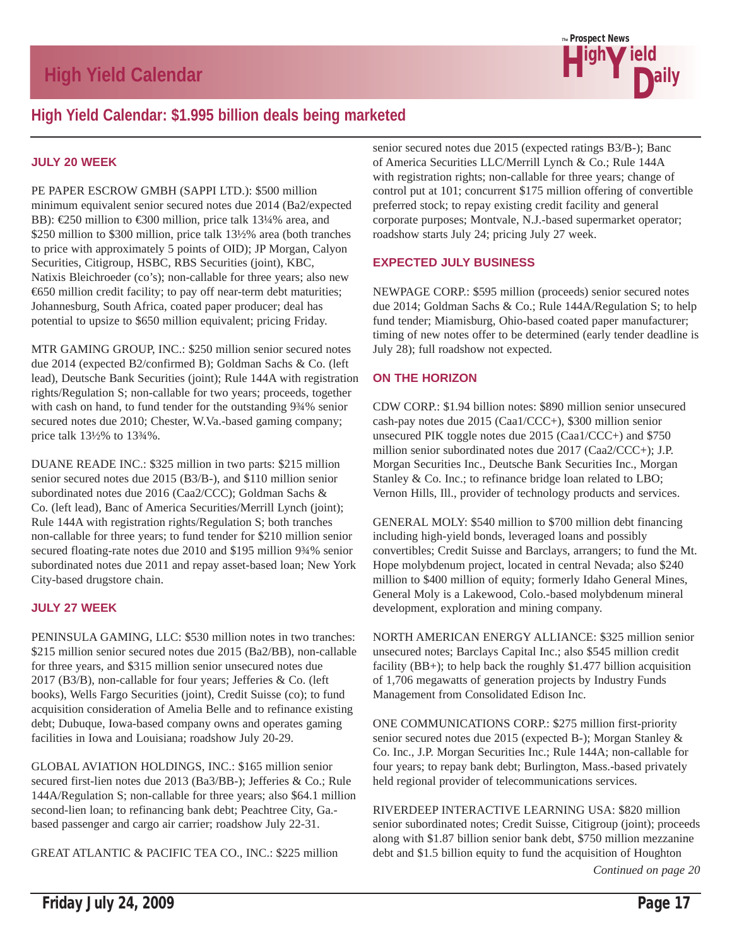

# **High Yield Calendar: \$1.995 billion deals being marketed**

#### **JULY 20 WEEK**

PE PAPER ESCROW GMBH (SAPPI LTD.): \$500 million minimum equivalent senior secured notes due 2014 (Ba2/expected BB): €250 million to €300 million, price talk 13¼% area, and \$250 million to \$300 million, price talk 13½% area (both tranches to price with approximately 5 points of OID); JP Morgan, Calyon Securities, Citigroup, HSBC, RBS Securities (joint), KBC, Natixis Bleichroeder (co's); non-callable for three years; also new €650 million credit facility; to pay off near-term debt maturities; Johannesburg, South Africa, coated paper producer; deal has potential to upsize to \$650 million equivalent; pricing Friday.

MTR GAMING GROUP, INC.: \$250 million senior secured notes due 2014 (expected B2/confirmed B); Goldman Sachs & Co. (left lead), Deutsche Bank Securities (joint); Rule 144A with registration rights/Regulation S; non-callable for two years; proceeds, together with cash on hand, to fund tender for the outstanding  $9\frac{3}{4}\%$  senior secured notes due 2010; Chester, W.Va.-based gaming company; price talk 13½% to 13¾%.

DUANE READE INC.: \$325 million in two parts: \$215 million senior secured notes due 2015 (B3/B-), and \$110 million senior subordinated notes due 2016 (Caa2/CCC); Goldman Sachs & Co. (left lead), Banc of America Securities/Merrill Lynch (joint); Rule 144A with registration rights/Regulation S; both tranches non-callable for three years; to fund tender for \$210 million senior secured floating-rate notes due 2010 and \$195 million 9¾% senior subordinated notes due 2011 and repay asset-based loan; New York City-based drugstore chain.

#### **JULY 27 WEEK**

PENINSULA GAMING, LLC: \$530 million notes in two tranches: \$215 million senior secured notes due 2015 (Ba2/BB), non-callable for three years, and \$315 million senior unsecured notes due 2017 (B3/B), non-callable for four years; Jefferies & Co. (left books), Wells Fargo Securities (joint), Credit Suisse (co); to fund acquisition consideration of Amelia Belle and to refinance existing debt; Dubuque, Iowa-based company owns and operates gaming facilities in Iowa and Louisiana; roadshow July 20-29.

GLOBAL AVIATION HOLDINGS, INC.: \$165 million senior secured first-lien notes due 2013 (Ba3/BB-); Jefferies & Co.; Rule 144A/Regulation S; non-callable for three years; also \$64.1 million second-lien loan; to refinancing bank debt; Peachtree City, Ga. based passenger and cargo air carrier; roadshow July 22-31.

GREAT ATLANTIC & PACIFIC TEA CO., INC.: \$225 million

senior secured notes due 2015 (expected ratings B3/B-); Banc of America Securities LLC/Merrill Lynch & Co.; Rule 144A with registration rights; non-callable for three years; change of control put at 101; concurrent \$175 million offering of convertible preferred stock; to repay existing credit facility and general corporate purposes; Montvale, N.J.-based supermarket operator; roadshow starts July 24; pricing July 27 week.

#### **EXPECTED JULY BUSINESS**

NEWPAGE CORP.: \$595 million (proceeds) senior secured notes due 2014; Goldman Sachs & Co.; Rule 144A/Regulation S; to help fund tender; Miamisburg, Ohio-based coated paper manufacturer; timing of new notes offer to be determined (early tender deadline is July 28); full roadshow not expected.

#### **ON THE HORIZON**

CDW CORP.: \$1.94 billion notes: \$890 million senior unsecured cash-pay notes due 2015 (Caa1/CCC+), \$300 million senior unsecured PIK toggle notes due 2015 (Caa1/CCC+) and \$750 million senior subordinated notes due 2017 (Caa2/CCC+); J.P. Morgan Securities Inc., Deutsche Bank Securities Inc., Morgan Stanley & Co. Inc.; to refinance bridge loan related to LBO; Vernon Hills, Ill., provider of technology products and services.

GENERAL MOLY: \$540 million to \$700 million debt financing including high-yield bonds, leveraged loans and possibly convertibles; Credit Suisse and Barclays, arrangers; to fund the Mt. Hope molybdenum project, located in central Nevada; also \$240 million to \$400 million of equity; formerly Idaho General Mines, General Moly is a Lakewood, Colo.-based molybdenum mineral development, exploration and mining company.

NORTH AMERICAN ENERGY ALLIANCE: \$325 million senior unsecured notes; Barclays Capital Inc.; also \$545 million credit facility (BB+); to help back the roughly \$1.477 billion acquisition of 1,706 megawatts of generation projects by Industry Funds Management from Consolidated Edison Inc.

ONE COMMUNICATIONS CORP.: \$275 million first-priority senior secured notes due 2015 (expected B-); Morgan Stanley & Co. Inc., J.P. Morgan Securities Inc.; Rule 144A; non-callable for four years; to repay bank debt; Burlington, Mass.-based privately held regional provider of telecommunications services.

RIVERDEEP INTERACTIVE LEARNING USA: \$820 million senior subordinated notes; Credit Suisse, Citigroup (joint); proceeds along with \$1.87 billion senior bank debt, \$750 million mezzanine debt and \$1.5 billion equity to fund the acquisition of Houghton

*Continued on page 20*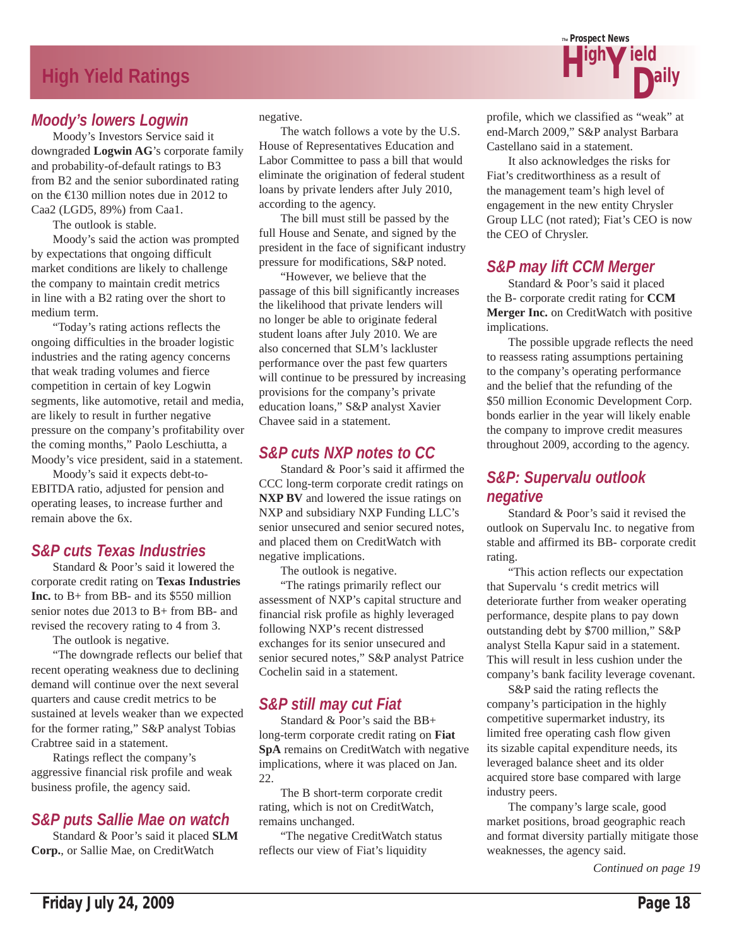# **High Yield Ratings**

### *Moody's lowers Logwin*

 Moody's Investors Service said it downgraded **Logwin AG**'s corporate family and probability-of-default ratings to B3 from B2 and the senior subordinated rating on the €130 million notes due in 2012 to Caa2 (LGD5, 89%) from Caa1.

The outlook is stable.

 Moody's said the action was prompted by expectations that ongoing difficult market conditions are likely to challenge the company to maintain credit metrics in line with a B2 rating over the short to medium term.

 "Today's rating actions reflects the ongoing difficulties in the broader logistic industries and the rating agency concerns that weak trading volumes and fierce competition in certain of key Logwin segments, like automotive, retail and media, are likely to result in further negative pressure on the company's profitability over the coming months," Paolo Leschiutta, a Moody's vice president, said in a statement.

 Moody's said it expects debt-to-EBITDA ratio, adjusted for pension and operating leases, to increase further and remain above the 6x.

### *S&P cuts Texas Industries*

 Standard & Poor's said it lowered the corporate credit rating on **Texas Industries Inc.** to B+ from BB- and its \$550 million senior notes due 2013 to B+ from BB- and revised the recovery rating to 4 from 3.

The outlook is negative.

 "The downgrade reflects our belief that recent operating weakness due to declining demand will continue over the next several quarters and cause credit metrics to be sustained at levels weaker than we expected for the former rating," S&P analyst Tobias Crabtree said in a statement.

 Ratings reflect the company's aggressive financial risk profile and weak business profile, the agency said.

### *S&P puts Sallie Mae on watch*

 Standard & Poor's said it placed **SLM Corp.**, or Sallie Mae, on CreditWatch

negative.

 The watch follows a vote by the U.S. House of Representatives Education and Labor Committee to pass a bill that would eliminate the origination of federal student loans by private lenders after July 2010, according to the agency.

 The bill must still be passed by the full House and Senate, and signed by the president in the face of significant industry pressure for modifications, S&P noted.

 "However, we believe that the passage of this bill significantly increases the likelihood that private lenders will no longer be able to originate federal student loans after July 2010. We are also concerned that SLM's lackluster performance over the past few quarters will continue to be pressured by increasing provisions for the company's private education loans," S&P analyst Xavier Chavee said in a statement.

### *S&P cuts NXP notes to CC*

 Standard & Poor's said it affirmed the CCC long-term corporate credit ratings on **NXP BV** and lowered the issue ratings on NXP and subsidiary NXP Funding LLC's senior unsecured and senior secured notes, and placed them on CreditWatch with negative implications.

The outlook is negative.

 "The ratings primarily reflect our assessment of NXP's capital structure and financial risk profile as highly leveraged following NXP's recent distressed exchanges for its senior unsecured and senior secured notes," S&P analyst Patrice Cochelin said in a statement.

# *S&P still may cut Fiat*

 Standard & Poor's said the BB+ long-term corporate credit rating on **Fiat SpA** remains on CreditWatch with negative implications, where it was placed on Jan. 22.

 The B short-term corporate credit rating, which is not on CreditWatch, remains unchanged.

 "The negative CreditWatch status reflects our view of Fiat's liquidity



profile, which we classified as "weak" at end-March 2009," S&P analyst Barbara Castellano said in a statement.

 It also acknowledges the risks for Fiat's creditworthiness as a result of the management team's high level of engagement in the new entity Chrysler Group LLC (not rated); Fiat's CEO is now the CEO of Chrysler.

### *S&P may lift CCM Merger*

 Standard & Poor's said it placed the B- corporate credit rating for **CCM Merger Inc.** on CreditWatch with positive implications.

 The possible upgrade reflects the need to reassess rating assumptions pertaining to the company's operating performance and the belief that the refunding of the \$50 million Economic Development Corp. bonds earlier in the year will likely enable the company to improve credit measures throughout 2009, according to the agency.

### *S&P: Supervalu outlook negative*

 Standard & Poor's said it revised the outlook on Supervalu Inc. to negative from stable and affirmed its BB- corporate credit rating.

 "This action reflects our expectation that Supervalu 's credit metrics will deteriorate further from weaker operating performance, despite plans to pay down outstanding debt by \$700 million," S&P analyst Stella Kapur said in a statement. This will result in less cushion under the company's bank facility leverage covenant.

 S&P said the rating reflects the company's participation in the highly competitive supermarket industry, its limited free operating cash flow given its sizable capital expenditure needs, its leveraged balance sheet and its older acquired store base compared with large industry peers.

 The company's large scale, good market positions, broad geographic reach and format diversity partially mitigate those weaknesses, the agency said.

*Continued on page 19*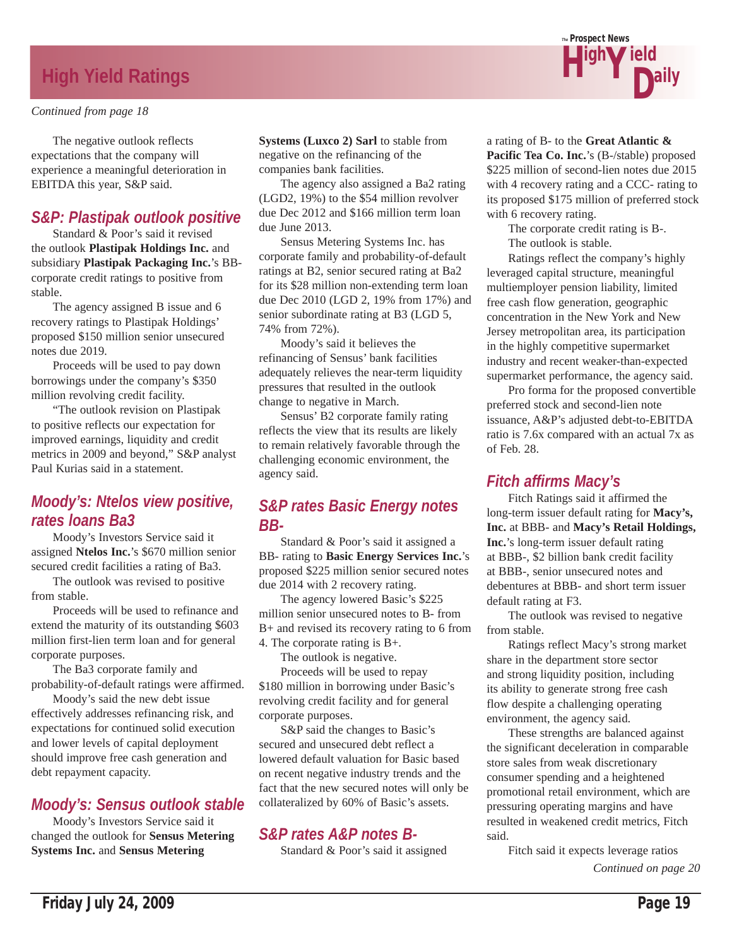# **High Yield Ratings**

#### *Continued from page 18*

 The negative outlook reflects expectations that the company will experience a meaningful deterioration in EBITDA this year, S&P said.

### *S&P: Plastipak outlook positive*

 Standard & Poor's said it revised the outlook **Plastipak Holdings Inc.** and subsidiary **Plastipak Packaging Inc.**'s BBcorporate credit ratings to positive from stable.

 The agency assigned B issue and 6 recovery ratings to Plastipak Holdings' proposed \$150 million senior unsecured notes due 2019.

 Proceeds will be used to pay down borrowings under the company's \$350 million revolving credit facility.

 "The outlook revision on Plastipak to positive reflects our expectation for improved earnings, liquidity and credit metrics in 2009 and beyond," S&P analyst Paul Kurias said in a statement.

### *Moody's: Ntelos view positive, rates loans Ba3*

 Moody's Investors Service said it assigned **Ntelos Inc.**'s \$670 million senior secured credit facilities a rating of Ba3.

 The outlook was revised to positive from stable.

 Proceeds will be used to refinance and extend the maturity of its outstanding \$603 million first-lien term loan and for general corporate purposes.

 The Ba3 corporate family and probability-of-default ratings were affirmed.

 Moody's said the new debt issue effectively addresses refinancing risk, and expectations for continued solid execution and lower levels of capital deployment should improve free cash generation and debt repayment capacity.

### *Moody's: Sensus outlook stable*

 Moody's Investors Service said it changed the outlook for **Sensus Metering Systems Inc.** and **Sensus Metering** 

**Systems (Luxco 2) Sarl** to stable from negative on the refinancing of the companies bank facilities.

 The agency also assigned a Ba2 rating (LGD2, 19%) to the \$54 million revolver due Dec 2012 and \$166 million term loan due June 2013.

 Sensus Metering Systems Inc. has corporate family and probability-of-default ratings at B2, senior secured rating at Ba2 for its \$28 million non-extending term loan due Dec 2010 (LGD 2, 19% from 17%) and senior subordinate rating at B3 (LGD 5, 74% from 72%).

 Moody's said it believes the refinancing of Sensus' bank facilities adequately relieves the near-term liquidity pressures that resulted in the outlook change to negative in March.

 Sensus' B2 corporate family rating reflects the view that its results are likely to remain relatively favorable through the challenging economic environment, the agency said.

### *S&P rates Basic Energy notes BB-*

 Standard & Poor's said it assigned a BB- rating to **Basic Energy Services Inc.**'s proposed \$225 million senior secured notes due 2014 with 2 recovery rating.

 The agency lowered Basic's \$225 million senior unsecured notes to B- from B+ and revised its recovery rating to 6 from 4. The corporate rating is B+.

The outlook is negative.

 Proceeds will be used to repay \$180 million in borrowing under Basic's revolving credit facility and for general corporate purposes.

 S&P said the changes to Basic's secured and unsecured debt reflect a lowered default valuation for Basic based on recent negative industry trends and the fact that the new secured notes will only be collateralized by 60% of Basic's assets.

# *S&P rates A&P notes B-*

Standard & Poor's said it assigned



a rating of B- to the **Great Atlantic & Pacific Tea Co. Inc.**'s (B-/stable) proposed \$225 million of second-lien notes due 2015 with 4 recovery rating and a CCC- rating to its proposed \$175 million of preferred stock with 6 recovery rating.

The corporate credit rating is B-.

The outlook is stable.

 Ratings reflect the company's highly leveraged capital structure, meaningful multiemployer pension liability, limited free cash flow generation, geographic concentration in the New York and New Jersey metropolitan area, its participation in the highly competitive supermarket industry and recent weaker-than-expected supermarket performance, the agency said.

 Pro forma for the proposed convertible preferred stock and second-lien note issuance, A&P's adjusted debt-to-EBITDA ratio is 7.6x compared with an actual 7x as of Feb. 28.

### *Fitch affirms Macy's*

 Fitch Ratings said it affirmed the long-term issuer default rating for **Macy's, Inc.** at BBB- and **Macy's Retail Holdings, Inc.**'s long-term issuer default rating at BBB-, \$2 billion bank credit facility at BBB-, senior unsecured notes and debentures at BBB- and short term issuer default rating at F3.

 The outlook was revised to negative from stable.

 Ratings reflect Macy's strong market share in the department store sector and strong liquidity position, including its ability to generate strong free cash flow despite a challenging operating environment, the agency said.

 These strengths are balanced against the significant deceleration in comparable store sales from weak discretionary consumer spending and a heightened promotional retail environment, which are pressuring operating margins and have resulted in weakened credit metrics, Fitch said.

 Fitch said it expects leverage ratios *Continued on page 20*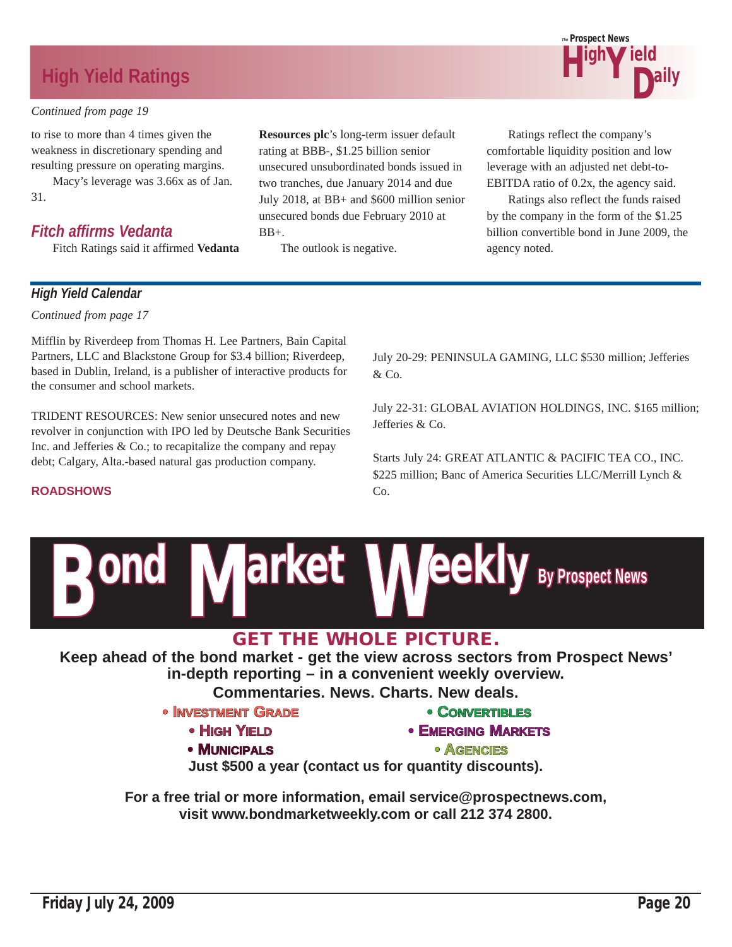# **High Yield Ratings**

#### *Continued from page 19*

to rise to more than 4 times given the weakness in discretionary spending and resulting pressure on operating margins.

 Macy's leverage was 3.66x as of Jan. 31.

### *Fitch affirms Vedanta*

Fitch Ratings said it affirmed **Vedanta** 

**Resources plc**'s long-term issuer default rating at BBB-, \$1.25 billion senior unsecured unsubordinated bonds issued in two tranches, due January 2014 and due July 2018, at BB+ and \$600 million senior unsecured bonds due February 2010 at BB+.

The outlook is negative.

 Ratings reflect the company's comfortable liquidity position and low leverage with an adjusted net debt-to-EBITDA ratio of 0.2x, the agency said.

 Ratings also reflect the funds raised by the company in the form of the \$1.25 billion convertible bond in June 2009, the agency noted.

#### *High Yield Calendar*

*Continued from page 17*

**ROADSHOWS**

Mifflin by Riverdeep from Thomas H. Lee Partners, Bain Capital Partners, LLC and Blackstone Group for \$3.4 billion; Riverdeep, based in Dublin, Ireland, is a publisher of interactive products for the consumer and school markets.

TRIDENT RESOURCES: New senior unsecured notes and new revolver in conjunction with IPO led by Deutsche Bank Securities Inc. and Jefferies & Co.; to recapitalize the company and repay debt; Calgary, Alta.-based natural gas production company.

#### July 20-29: PENINSULA GAMING, LLC \$530 million; Jefferies & Co.

July 22-31: GLOBAL AVIATION HOLDINGS, INC. \$165 million; Jefferies & Co.

Starts July 24: GREAT ATLANTIC & PACIFIC TEA CO., INC. \$225 million; Banc of America Securities LLC/Merrill Lynch & Co.



**Keep ahead of the bond market - get the view across sectors from Prospect News' in-depth reporting – in a convenient weekly overview.** 

**Commentaries. News. Charts. New deals.**

### **• INVESTMENT GRADE**

- **HIGH YIELD**
- **MUNICIPALS**
- **•CONVERTIBLES NVERTIBLES**
- **EMERGING MARKETS** 
	- **•AGENCIES**

**Just \$500 a year (contact us for quantity discounts).**

**For a free trial or more information, email service@prospectnews.com, visit www.bondmarketweekly.com or call 212 374 2800.**

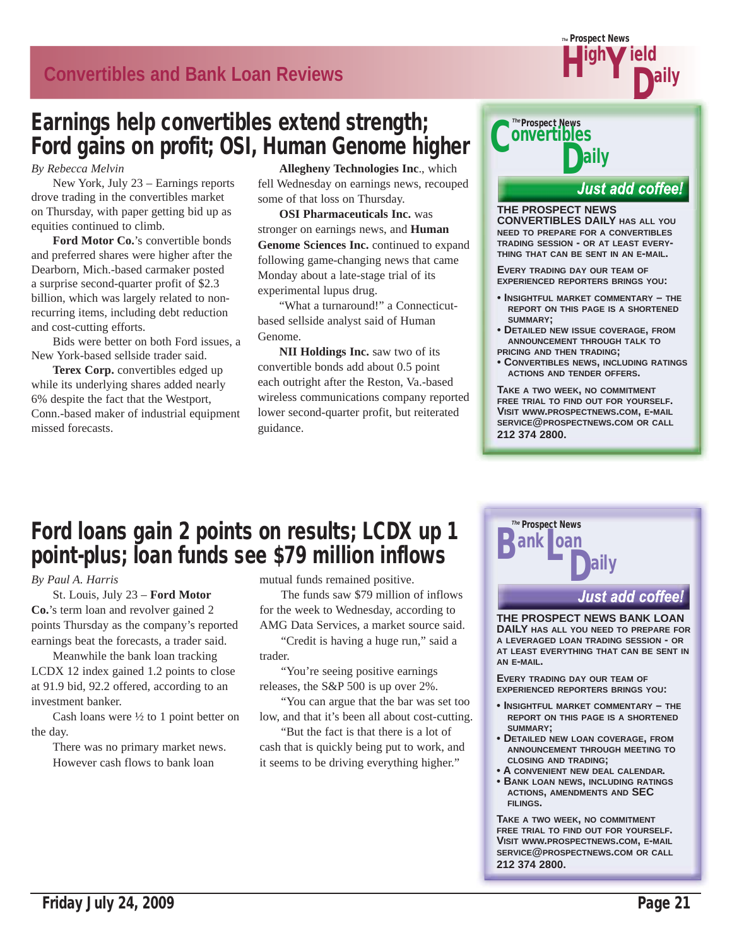# **Convertibles and Bank Loan Reviews**

# Earnings help convertibles extend strength; Ford gains on profit; OSI, Human Genome higher

*By Rebecca Melvin*

 New York, July 23 – Earnings reports drove trading in the convertibles market on Thursday, with paper getting bid up as equities continued to climb.

**Ford Motor Co.**'s convertible bonds and preferred shares were higher after the Dearborn, Mich.-based carmaker posted a surprise second-quarter profit of \$2.3 billion, which was largely related to nonrecurring items, including debt reduction and cost-cutting efforts.

 Bids were better on both Ford issues, a New York-based sellside trader said.

**Terex Corp.** convertibles edged up while its underlying shares added nearly 6% despite the fact that the Westport, Conn.-based maker of industrial equipment missed forecasts.

**Allegheny Technologies Inc**., which fell Wednesday on earnings news, recouped some of that loss on Thursday.

**OSI Pharmaceuticals Inc.** was stronger on earnings news, and **Human Genome Sciences Inc.** continued to expand following game-changing news that came Monday about a late-stage trial of its experimental lupus drug.

 "What a turnaround!" a Connecticutbased sellside analyst said of Human Genome.

**NII Holdings Inc.** saw two of its convertible bonds add about 0.5 point each outright after the Reston, Va.-based wireless communications company reported lower second-quarter profit, but reiterated guidance.



**THE PROSPECT NEWS CONVERTIBLES DAILY HAS ALL YOU NEED TO PREPARE FOR A CONVERTIBLES TRADING SESSION - OR AT LEAST EVERY-THING THAT CAN BE SENT IN AN E-MAIL.**

*The* Prospect News

Y Daily ield

H<sup>igh</sup>

**EVERY TRADING DAY OUR TEAM OF EXPERIENCED REPORTERS BRINGS YOU:**

- **INSIGHTFUL MARKET COMMENTARY THE REPORT ON THIS PAGE IS A SHORTENED SUMMARY;**
- **DETAILED NEW ISSUE COVERAGE, FROM ANNOUNCEMENT THROUGH TALK TO PRICING AND THEN TRADING;**
- **CONVERTIBLES NEWS, INCLUDING RATINGS ACTIONS AND TENDER OFFERS.**

**TAKE A TWO WEEK, NO COMMITMENT FREE TRIAL TO FIND OUT FOR YOURSELF. VISIT WWW.PROSPECTNEWS.COM, E-MAIL SERVICE@PROSPECTNEWS.COM OR CALL 212 374 2800.**

# Ford loans gain 2 points on results; LCDX up 1 point-plus; loan funds see \$79 million inflows

*By Paul A. Harris*

 St. Louis, July 23 – **Ford Motor Co.**'s term loan and revolver gained 2 points Thursday as the company's reported earnings beat the forecasts, a trader said.

 Meanwhile the bank loan tracking LCDX 12 index gained 1.2 points to close at 91.9 bid, 92.2 offered, according to an investment banker.

Cash loans were  $\frac{1}{2}$  to 1 point better on the day.

> There was no primary market news. However cash flows to bank loan

mutual funds remained positive.

 The funds saw \$79 million of inflows for the week to Wednesday, according to AMG Data Services, a market source said.

 "Credit is having a huge run," said a trader.

 "You're seeing positive earnings releases, the S&P 500 is up over 2%.

 "You can argue that the bar was set too low, and that it's been all about cost-cutting.

 "But the fact is that there is a lot of cash that is quickly being put to work, and it seems to be driving everything higher."



**THE PROSPECT NEWS BANK LOAN DAILY HAS ALL YOU NEED TO PREPARE FOR A LEVERAGED LOAN TRADING SESSION - OR AT LEAST EVERYTHING THAT CAN BE SENT IN AN E-MAIL.**

**EVERY TRADING DAY OUR TEAM OF EXPERIENCED REPORTERS BRINGS YOU:**

- **INSIGHTFUL MARKET COMMENTARY THE REPORT ON THIS PAGE IS A SHORTENED SUMMARY;**
- **DETAILED NEW LOAN COVERAGE, FROM ANNOUNCEMENT THROUGH MEETING TO CLOSING AND TRADING;**
- **A CONVENIENT NEW DEAL CALENDAR.**
- **BANK LOAN NEWS, INCLUDING RATINGS ACTIONS, AMENDMENTS AND SEC FILINGS.**

**TAKE A TWO WEEK, NO COMMITMENT FREE TRIAL TO FIND OUT FOR YOURSELF. VISIT WWW.PROSPECTNEWS.COM, E-MAIL SERVICE@PROSPECTNEWS.COM OR CALL 212 374 2800.**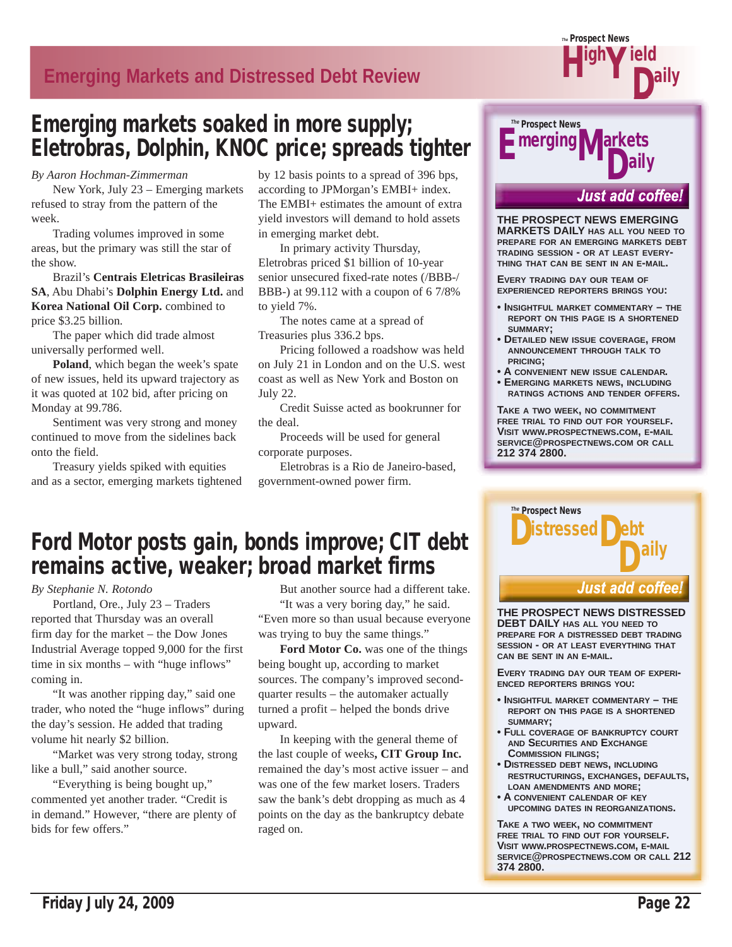# **Emerging Markets and Distressed Debt Review**

# Emerging markets soaked in more supply; Eletrobras, Dolphin, KNOC price; spreads tighter

*By Aaron Hochman-Zimmerman*

 New York, July 23 – Emerging markets refused to stray from the pattern of the week.

 Trading volumes improved in some areas, but the primary was still the star of the show.

 Brazil's **Centrais Eletricas Brasileiras SA**, Abu Dhabi's **Dolphin Energy Ltd.** and **Korea National Oil Corp.** combined to price \$3.25 billion.

 The paper which did trade almost universally performed well.

**Poland**, which began the week's spate of new issues, held its upward trajectory as it was quoted at 102 bid, after pricing on Monday at 99.786.

 Sentiment was very strong and money continued to move from the sidelines back onto the field.

 Treasury yields spiked with equities and as a sector, emerging markets tightened by 12 basis points to a spread of 396 bps, according to JPMorgan's EMBI+ index. The EMBI+ estimates the amount of extra yield investors will demand to hold assets in emerging market debt.

 In primary activity Thursday, Eletrobras priced \$1 billion of 10-year senior unsecured fixed-rate notes (/BBB-/ BBB-) at 99.112 with a coupon of 6 7/8% to yield 7%.

 The notes came at a spread of Treasuries plus 336.2 bps.

 Pricing followed a roadshow was held on July 21 in London and on the U.S. west coast as well as New York and Boston on July 22.

 Credit Suisse acted as bookrunner for the deal.

 Proceeds will be used for general corporate purposes.

 Eletrobras is a Rio de Janeiro-based, government-owned power firm.

# Ford Motor posts gain, bonds improve; CIT debt remains active, weaker; broad market firms

*By Stephanie N. Rotondo*

 Portland, Ore., July 23 – Traders reported that Thursday was an overall firm day for the market – the Dow Jones Industrial Average topped 9,000 for the first time in six months – with "huge inflows" coming in.

 "It was another ripping day," said one trader, who noted the "huge inflows" during the day's session. He added that trading volume hit nearly \$2 billion.

 "Market was very strong today, strong like a bull," said another source.

 "Everything is being bought up," commented yet another trader. "Credit is in demand." However, "there are plenty of bids for few offers."

 But another source had a different take. "It was a very boring day," he said. "Even more so than usual because everyone was trying to buy the same things."

**Ford Motor Co.** was one of the things being bought up, according to market sources. The company's improved secondquarter results – the automaker actually turned a profit – helped the bonds drive upward.

 In keeping with the general theme of the last couple of weeks**, CIT Group Inc.** remained the day's most active issuer – and was one of the few market losers. Traders saw the bank's debt dropping as much as 4 points on the day as the bankruptcy debate raged on.



H<sup>igh</sup>

*The* Prospect News

**Just add coffee!** 

Y Daily ield

**THE PROSPECT NEWS EMERGING MARKETS DAILY HAS ALL YOU NEED TO PREPARE FOR AN EMERGING MARKETS DEBT TRADING SESSION - OR AT LEAST EVERY-THING THAT CAN BE SENT IN AN E-MAIL.**

**EVERY TRADING DAY OUR TEAM OF EXPERIENCED REPORTERS BRINGS YOU:**

- **INSIGHTFUL MARKET COMMENTARY THE REPORT ON THIS PAGE IS A SHORTENED SUMMARY;**
- **DETAILED NEW ISSUE COVERAGE, FROM ANNOUNCEMENT THROUGH TALK TO PRICING;**
- **A CONVENIENT NEW ISSUE CALENDAR.**
- **EMERGING MARKETS NEWS, INCLUDING RATINGS ACTIONS AND TENDER OFFERS.**

**TAKE A TWO WEEK, NO COMMITMENT FREE TRIAL TO FIND OUT FOR YOURSELF. VISIT WWW.PROSPECTNEWS.COM, E-MAIL SERVICE@PROSPECTNEWS.COM OR CALL 212 374 2800.**



**THE PROSPECT NEWS DISTRESSED DEBT DAILY HAS ALL YOU NEED TO PREPARE FOR A DISTRESSED DEBT TRADING SESSION - OR AT LEAST EVERYTHING THAT CAN BE SENT IN AN E-MAIL.**

**EVERY TRADING DAY OUR TEAM OF EXPERI-ENCED REPORTERS BRINGS YOU:**

- **INSIGHTFUL MARKET COMMENTARY THE REPORT ON THIS PAGE IS A SHORTENED SUMMARY;**
- **FULL COVERAGE OF BANKRUPTCY COURT AND SECURITIES AND EXCHANGE COMMISSION FILINGS;**
- **DISTRESSED DEBT NEWS, INCLUDING RESTRUCTURINGS, EXCHANGES, DEFAULTS, LOAN AMENDMENTS AND MORE;**
- **A CONVENIENT CALENDAR OF KEY UPCOMING DATES IN REORGANIZATIONS.**

**TAKE A TWO WEEK, NO COMMITMENT FREE TRIAL TO FIND OUT FOR YOURSELF. VISIT WWW.PROSPECTNEWS.COM, E-MAIL SERVICE@PROSPECTNEWS.COM OR CALL 212 374 2800.**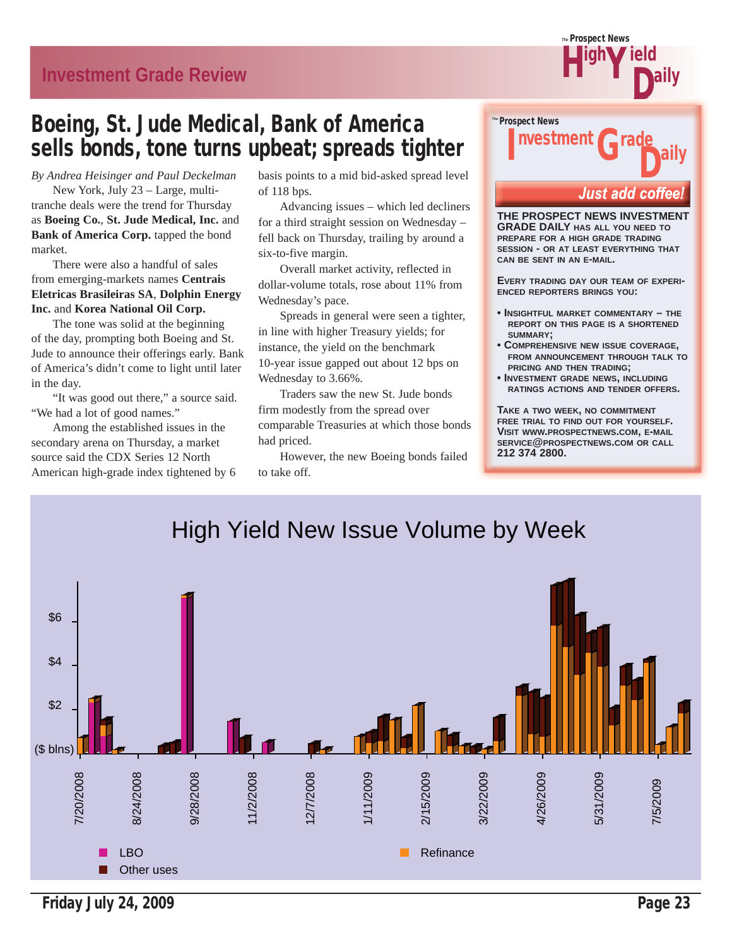**Investment Grade Review**

# Boeing, St. Jude Medical, Bank of America sells bonds, tone turns upbeat; spreads tighter

*By Andrea Heisinger and Paul Deckelman*

 New York, July 23 – Large, multitranche deals were the trend for Thursday as **Boeing Co.**, **St. Jude Medical, Inc.** and **Bank of America Corp.** tapped the bond market.

 There were also a handful of sales from emerging-markets names **Centrais Eletricas Brasileiras SA**, **Dolphin Energy Inc.** and **Korea National Oil Corp.**

 The tone was solid at the beginning of the day, prompting both Boeing and St. Jude to announce their offerings early. Bank of America's didn't come to light until later in the day.

 "It was good out there," a source said. "We had a lot of good names."

 Among the established issues in the secondary arena on Thursday, a market source said the CDX Series 12 North American high-grade index tightened by 6 basis points to a mid bid-asked spread level of 118 bps.

 Advancing issues – which led decliners for a third straight session on Wednesday – fell back on Thursday, trailing by around a six-to-five margin.

 Overall market activity, reflected in dollar-volume totals, rose about 11% from Wednesday's pace.

 Spreads in general were seen a tighter, in line with higher Treasury yields; for instance, the yield on the benchmark 10-year issue gapped out about 12 bps on Wednesday to 3.66%.

 Traders saw the new St. Jude bonds firm modestly from the spread over comparable Treasuries at which those bonds had priced.

 However, the new Boeing bonds failed to take off.



*The* Prospect News

Y Daily ield

H<sup>igh</sup>

**THE PROSPECT NEWS INVESTMENT GRADE DAILY HAS ALL YOU NEED TO PREPARE FOR A HIGH GRADE TRADING SESSION - OR AT LEAST EVERYTHING THAT CAN BE SENT IN AN E-MAIL.**

**EVERY TRADING DAY OUR TEAM OF EXPERI-ENCED REPORTERS BRINGS YOU:**

- **INSIGHTFUL MARKET COMMENTARY THE REPORT ON THIS PAGE IS A SHORTENED SUMMARY;**
- **COMPREHENSIVE NEW ISSUE COVERAGE, FROM ANNOUNCEMENT THROUGH TALK TO PRICING AND THEN TRADING;**
- **INVESTMENT GRADE NEWS, INCLUDING RATINGS ACTIONS AND TENDER OFFERS.**

**TAKE A TWO WEEK, NO COMMITMENT FREE TRIAL TO FIND OUT FOR YOURSELF. VISIT WWW.PROSPECTNEWS.COM, E-MAIL SERVICE@PROSPECTNEWS.COM OR CALL 212 374 2800.**



Friday July 24, 2009 **Page 23**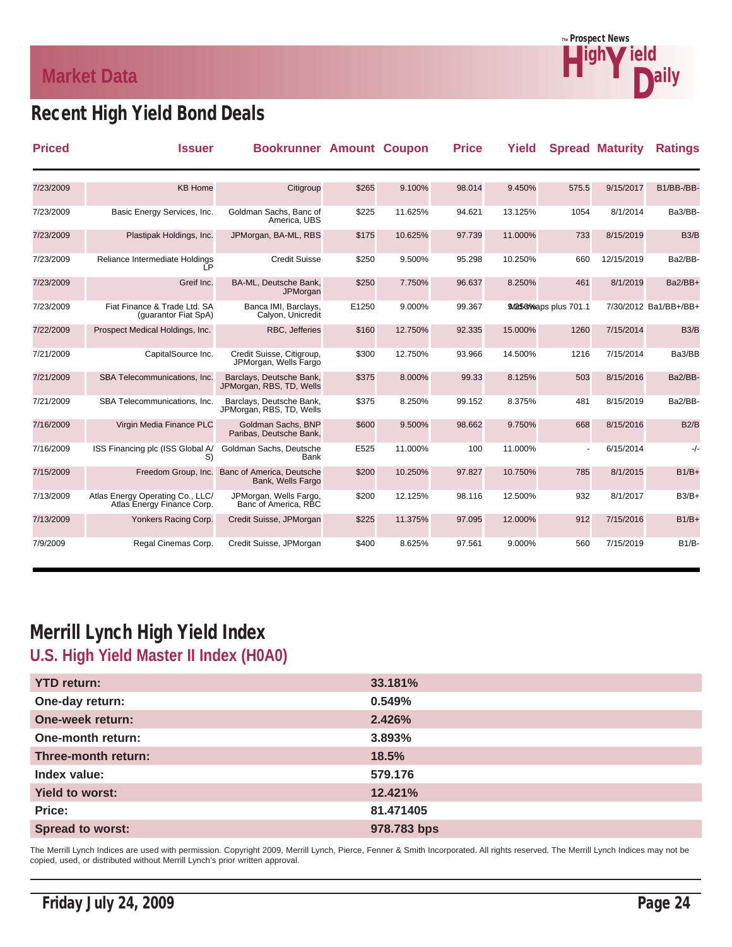# **Market Data**



# Recent High Yield Bond Deals

| <b>Priced</b> | <b>Issuer</b>                                                  | <b>Bookrunner Amount Coupon</b>                      |       |         | <b>Price</b> | Yield   |                           | <b>Spread Maturity</b> | <b>Ratings</b>        |
|---------------|----------------------------------------------------------------|------------------------------------------------------|-------|---------|--------------|---------|---------------------------|------------------------|-----------------------|
|               |                                                                |                                                      |       |         |              |         |                           |                        |                       |
| 7/23/2009     | <b>KB Home</b>                                                 | Citigroup                                            | \$265 | 9.100%  | 98.014       | 9.450%  | 575.5                     | 9/15/2017              | B1/BB-/BB-            |
| 7/23/2009     | Basic Energy Services, Inc.                                    | Goldman Sachs, Banc of<br>America, UBS               | \$225 | 11.625% | 94.621       | 13.125% | 1054                      | 8/1/2014               | Ba3/BB-               |
| 7/23/2009     | Plastipak Holdings, Inc.                                       | JPMorgan, BA-ML, RBS                                 | \$175 | 10.625% | 97.739       | 11.000% | 733                       | 8/15/2019              | B3/B                  |
| 7/23/2009     | Reliance Intermediate Holdings                                 | <b>Credit Suisse</b>                                 | \$250 | 9.500%  | 95.298       | 10.250% | 660                       | 12/15/2019             | Ba2/BB-               |
| 7/23/2009     | Greif Inc.                                                     | BA-ML, Deutsche Bank,<br>JPMorgan                    | \$250 | 7.750%  | 96.637       | 8.250%  | 461                       | 8/1/2019               | Ba2/BB+               |
| 7/23/2009     | Fiat Finance & Trade Ltd. SA<br>(guarantor Fiat SpA)           | Banca IMI, Barclays,<br>Calyon, Unicredit            | E1250 | 9.000%  | 99.367       |         | 9./065/08 waps plus 701.1 |                        | 7/30/2012 Ba1/BB+/BB+ |
| 7/22/2009     | Prospect Medical Holdings, Inc.                                | RBC, Jefferies                                       | \$160 | 12.750% | 92.335       | 15.000% | 1260                      | 7/15/2014              | B3/B                  |
| 7/21/2009     | CapitalSource Inc.                                             | Credit Suisse, Citigroup,<br>JPMorgan, Wells Fargo   | \$300 | 12.750% | 93.966       | 14.500% | 1216                      | 7/15/2014              | Ba3/BB                |
| 7/21/2009     | SBA Telecommunications, Inc.                                   | Barclays, Deutsche Bank,<br>JPMorgan, RBS, TD, Wells | \$375 | 8.000%  | 99.33        | 8.125%  | 503                       | 8/15/2016              | Ba2/BB-               |
| 7/21/2009     | SBA Telecommunications. Inc.                                   | Barclays, Deutsche Bank,<br>JPMorgan, RBS, TD, Wells | \$375 | 8.250%  | 99.152       | 8.375%  | 481                       | 8/15/2019              | Ba2/BB-               |
| 7/16/2009     | Virgin Media Finance PLC                                       | Goldman Sachs, BNP<br>Paribas, Deutsche Bank,        | \$600 | 9.500%  | 98.662       | 9.750%  | 668                       | 8/15/2016              | B2/B                  |
| 7/16/2009     | ISS Financing plc (ISS Global A/<br>S)                         | Goldman Sachs, Deutsche<br>Bank                      | E525  | 11.000% | 100          | 11.000% | $\overline{\phantom{a}}$  | 6/15/2014              | -/-                   |
| 7/15/2009     | Freedom Group, Inc.                                            | Banc of America, Deutsche<br>Bank, Wells Fargo       | \$200 | 10.250% | 97.827       | 10.750% | 785                       | 8/1/2015               | $B1/B+$               |
| 7/13/2009     | Atlas Energy Operating Co., LLC/<br>Atlas Energy Finance Corp. | JPMorgan, Wells Fargo,<br>Banc of America. RBC       | \$200 | 12.125% | 98.116       | 12.500% | 932                       | 8/1/2017               | $B3/B+$               |
| 7/13/2009     | Yonkers Racing Corp.                                           | Credit Suisse, JPMorgan                              | \$225 | 11.375% | 97.095       | 12.000% | 912                       | 7/15/2016              | $B1/B+$               |
| 7/9/2009      | Regal Cinemas Corp.                                            | Credit Suisse, JPMorgan                              | \$400 | 8.625%  | 97.561       | 9.000%  | 560                       | 7/15/2019              | $B1/B$ -              |

# Merrill Lynch High Yield Index **U.S. High Yield Master II Index (H0A0)**

| <b>YTD return:</b>      | 33.181%     |
|-------------------------|-------------|
| One-day return:         | 0.549%      |
| One-week return:        | 2.426%      |
| One-month return:       | 3.893%      |
| Three-month return:     | 18.5%       |
| Index value:            | 579.176     |
| <b>Yield to worst:</b>  | 12.421%     |
| Price:                  | 81.471405   |
| <b>Spread to worst:</b> | 978.783 bps |

The Merrill Lynch Indices are used with permission. Copyright 2009, Merrill Lynch, Pierce, Fenner & Smith Incorporated. All rights reserved. The Merrill Lynch Indices may not be copied, used, or distributed without Merrill Lynch's prior written approval.